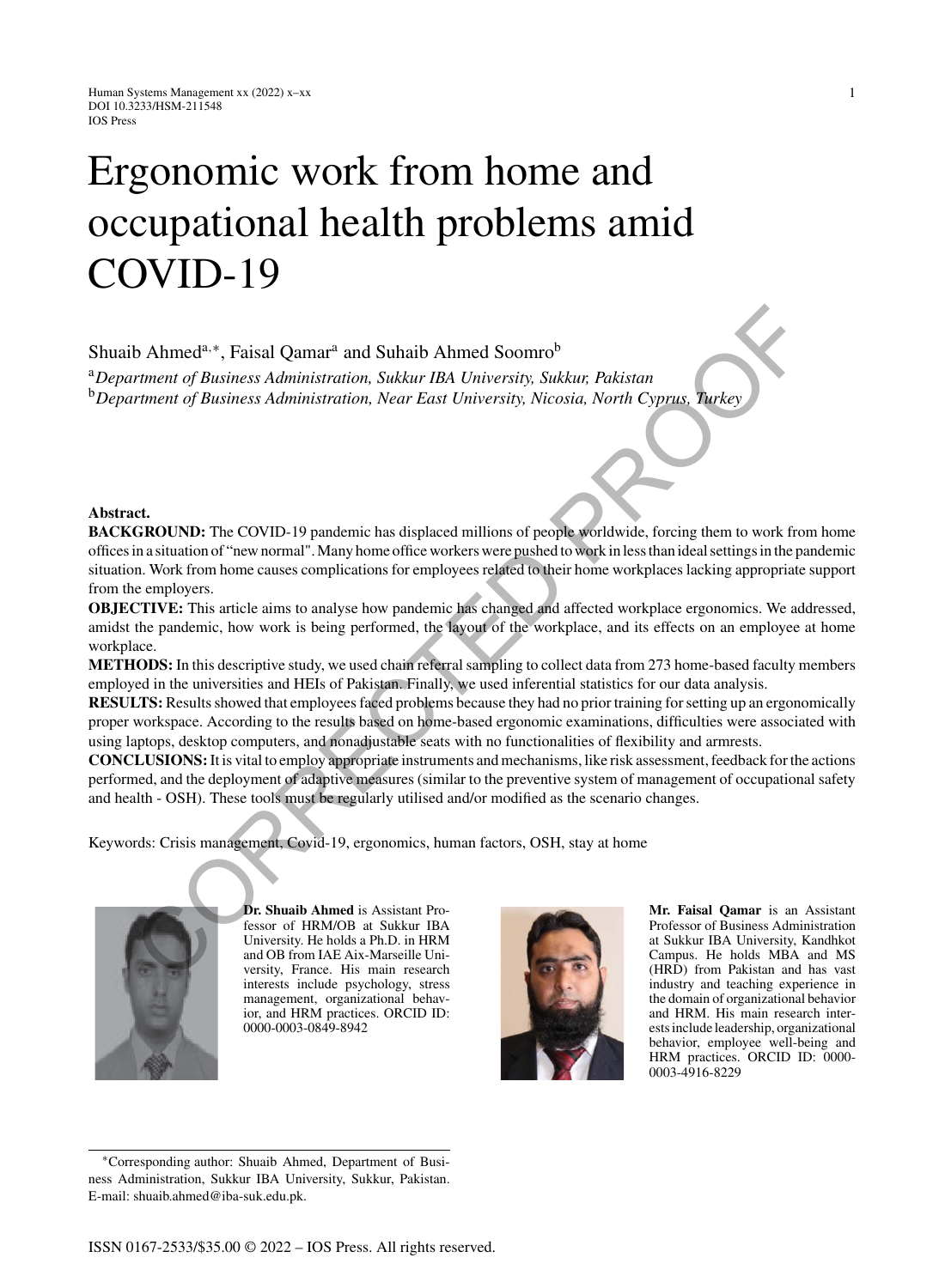# Ergonomic work from home and occupational health problems amid COVID-19

Shuaib Ahmed<sup>a,∗</sup>, Faisal Qamar<sup>a</sup> and Suhaib Ahmed Soomro<sup>b</sup>

<sup>a</sup>*Department of Business Administration, Sukkur IBA University, Sukkur, Pakistan* <sup>b</sup>*Department of Business Administration, Near East University, Nicosia, North Cyprus, Turkey*

#### **Abstract.**

**BACKGROUND:** The COVID-19 pandemic has displaced millions of people worldwide, forcing them to work from home offices in a situation of "new normal". Many home office workers were pushed to work in less than ideal settings in the pandemic situation. Work from home causes complications for employees related to their home workplaces lacking appropriate support from the employers. b Ahmed<sup>a, \*</sup>\*, Faisal Qamar<sup>\*</sup> and Suhaib Ahmed Soomro<sup>b</sup><br>
performent of Business Administration, Sukkur IBA University, Sukkur, Pakistan<br>
corrent of Business Administration, Near East University, Nicosia, North Cyprus, T

**OBJECTIVE:** This article aims to analyse how pandemic has changed and affected workplace ergonomics. We addressed, amidst the pandemic, how work is being performed, the layout of the workplace, and its effects on an employee at home workplace.

**METHODS:** In this descriptive study, we used chain referral sampling to collect data from 273 home-based faculty members employed in the universities and HEIs of Pakistan. Finally, we used inferential statistics for our data analysis.

**RESULTS:** Results showed that employees faced problems because they had no prior training for setting up an ergonomically proper workspace. According to the results based on home-based ergonomic examinations, difficulties were associated with using laptops, desktop computers, and nonadjustable seats with no functionalities of flexibility and armrests.

**CONCLUSIONS:**It is vital to employ appropriate instruments and mechanisms, like risk assessment, feedback for the actions performed, and the deployment of adaptive measures (similar to the preventive system of management of occupational safety and health - OSH). These tools must be regularly utilised and/or modified as the scenario changes.

Keywords: Crisis management, Covid-19, ergonomics, human factors, OSH, stay at home



E-mail: [shuaib.ahmed@iba-suk.edu.pk.](mailto:shuaib.ahmed@iba-suk.edu.pk)

**Dr. Shuaib Ahmed** is Assistant Professor of HRM/OB at Sukkur IBA University. He holds a Ph.D. in HRM and OB from IAE Aix-Marseille University, France. His main research interests include psychology, stress management, organizational behavior, and HRM practices. ORCID ID: 0000-0003-0849-8942



**Mr. Faisal Qamar** is an Assistant Professor of Business Administration at Sukkur IBA University, Kandhkot Campus. He holds MBA and MS (HRD) from Pakistan and has vast industry and teaching experience in the domain of organizational behavior and HRM. His main research interests include leadership, organizational behavior, employee well-being and HRM practices. ORCID ID: 0000-0003-4916-8229

∗Corresponding author: Shuaib Ahmed, Department of Business Administration, Sukkur IBA University, Sukkur, Pakistan.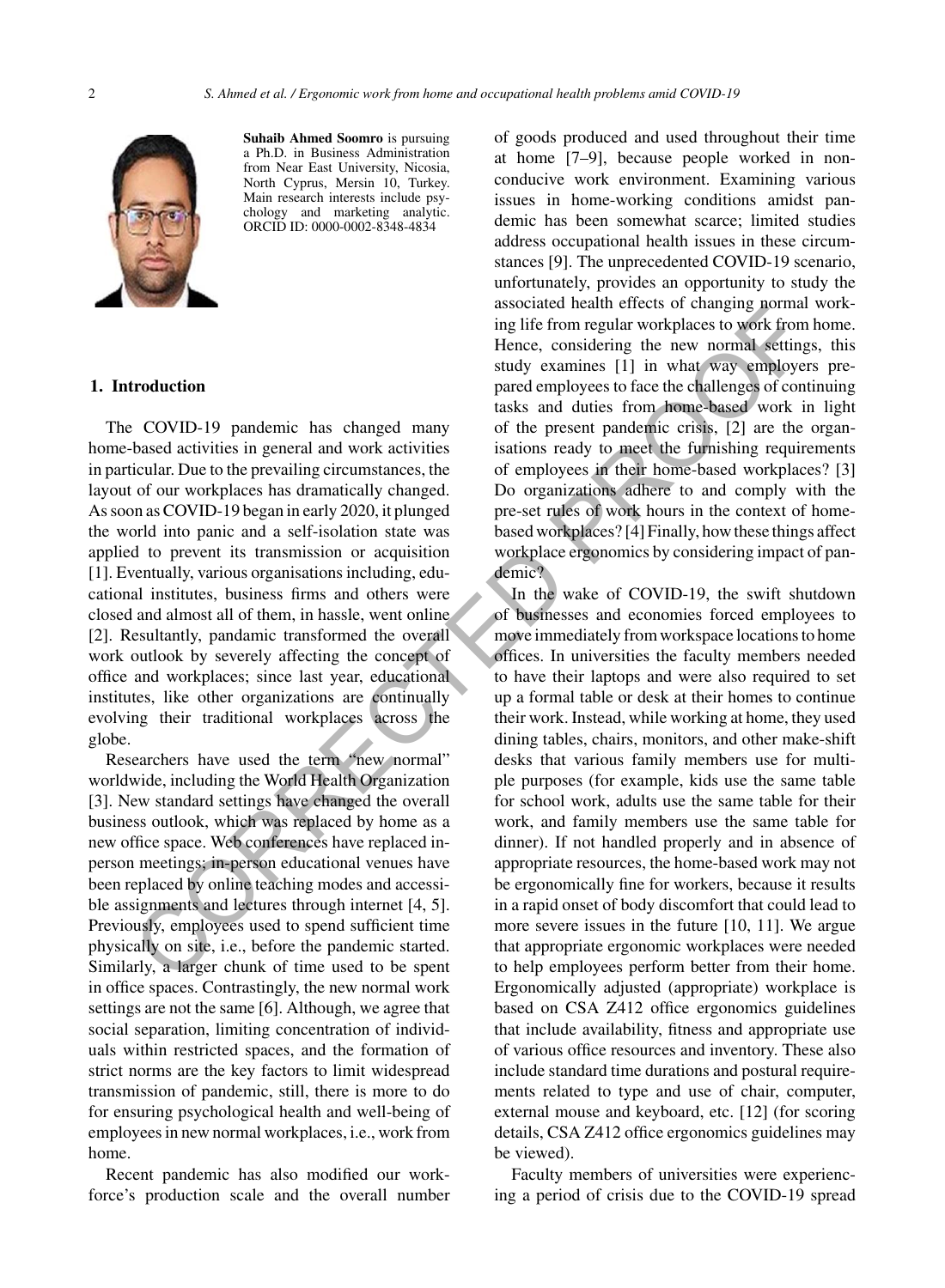

**Suhaib Ahmed Soomro** is pursuing a Ph.D. in Business Administration from Near East University, Nicosia, North Cyprus, Mersin 10, Turkey. Main research interests include psychology and marketing analytic. ORCID ID: 0000-0002-8348-4834

#### **1. Introduction**

The COVID-19 pandemic has changed many home-based activities in general and work activities in particular. Due to the prevailing circumstances, the layout of our workplaces has dramatically changed. As soon as COVID-19 began in early 2020, it plunged the world into panic and a self-isolation state was applied to prevent its transmission or acquisition [1]. Eventually, various organisations including, educational institutes, business firms and others were closed and almost all of them, in hassle, went online [2]. Resultantly, pandamic transformed the overall work outlook by severely affecting the concept of office and workplaces; since last year, educational institutes, like other organizations are continually evolving their traditional workplaces across the globe.

Researchers have used the term "new normal" worldwide, including the World Health Organization [3]. New standard settings have changed the overall business outlook, which was replaced by home as a new office space. Web conferences have replaced inperson meetings; in-person educational venues have been replaced by online teaching modes and accessible assignments and lectures through internet [4, 5]. Previously, employees used to spend sufficient time physically on site, i.e., before the pandemic started. Similarly, a larger chunk of time used to be spent in office spaces. Contrastingly, the new normal work settings are not the same [6]. Although, we agree that social separation, limiting concentration of individuals within restricted spaces, and the formation of strict norms are the key factors to limit widespread transmission of pandemic, still, there is more to do for ensuring psychological health and well-being of employees in new normal workplaces, i.e., work from home.

Recent pandemic has also modified our workforce's production scale and the overall number

of goods produced and used throughout their time at home [7–9], because people worked in nonconducive work environment. Examining various issues in home-working conditions amidst pandemic has been somewhat scarce; limited studies address occupational health issues in these circumstances [9]. The unprecedented COVID-19 scenario, unfortunately, provides an opportunity to study the associated health effects of changing normal working life from regular workplaces to work from home. Hence, considering the new normal settings, this study examines [1] in what way employers prepared employees to face the challenges of continuing tasks and duties from home-based work in light of the present pandemic crisis, [2] are the organisations ready to meet the furnishing requirements of employees in their home-based workplaces? [3] Do organizations adhere to and comply with the pre-set rules of work hours in the context of homebased workplaces? [4] Finally, how these things affect workplace ergonomics by considering impact of pandemic?

In the wake of COVID-19, the swift shutdown of businesses and economies forced employees to move immediately from workspace locations to home offices. In universities the faculty members needed to have their laptops and were also required to set up a formal table or desk at their homes to continue their work. Instead, while working at home, they used dining tables, chairs, monitors, and other make-shift desks that various family members use for multiple purposes (for example, kids use the same table for school work, adults use the same table for their work, and family members use the same table for dinner). If not handled properly and in absence of appropriate resources, the home-based work may not be ergonomically fine for workers, because it results in a rapid onset of body discomfort that could lead to more severe issues in the future [10, 11]. We argue that appropriate ergonomic workplaces were needed to help employees perform better from their home. Ergonomically adjusted (appropriate) workplace is based on CSA Z412 office ergonomics guidelines that include availability, fitness and appropriate use of various office resources and inventory. These also include standard time durations and postural requirements related to type and use of chair, computer, external mouse and keyboard, etc. [12] (for scoring details, CSA Z412 office ergonomics guidelines may be viewed). **EXERCT THE CONSULTER CONSULTER CONSULTER (SOMETHER SOMETHER SOMETHER AND MONETHER SOMETHER (SOMETHER SOMETHER SOMETHER (SOMETHER SOMETHER SOMETHER (SOMETHER SOMETHER SOMETHER (SOMETHER SOMETHER SOMETHER (SOMETHER SOMETHER** 

> Faculty members of universities were experiencing a period of crisis due to the COVID-19 spread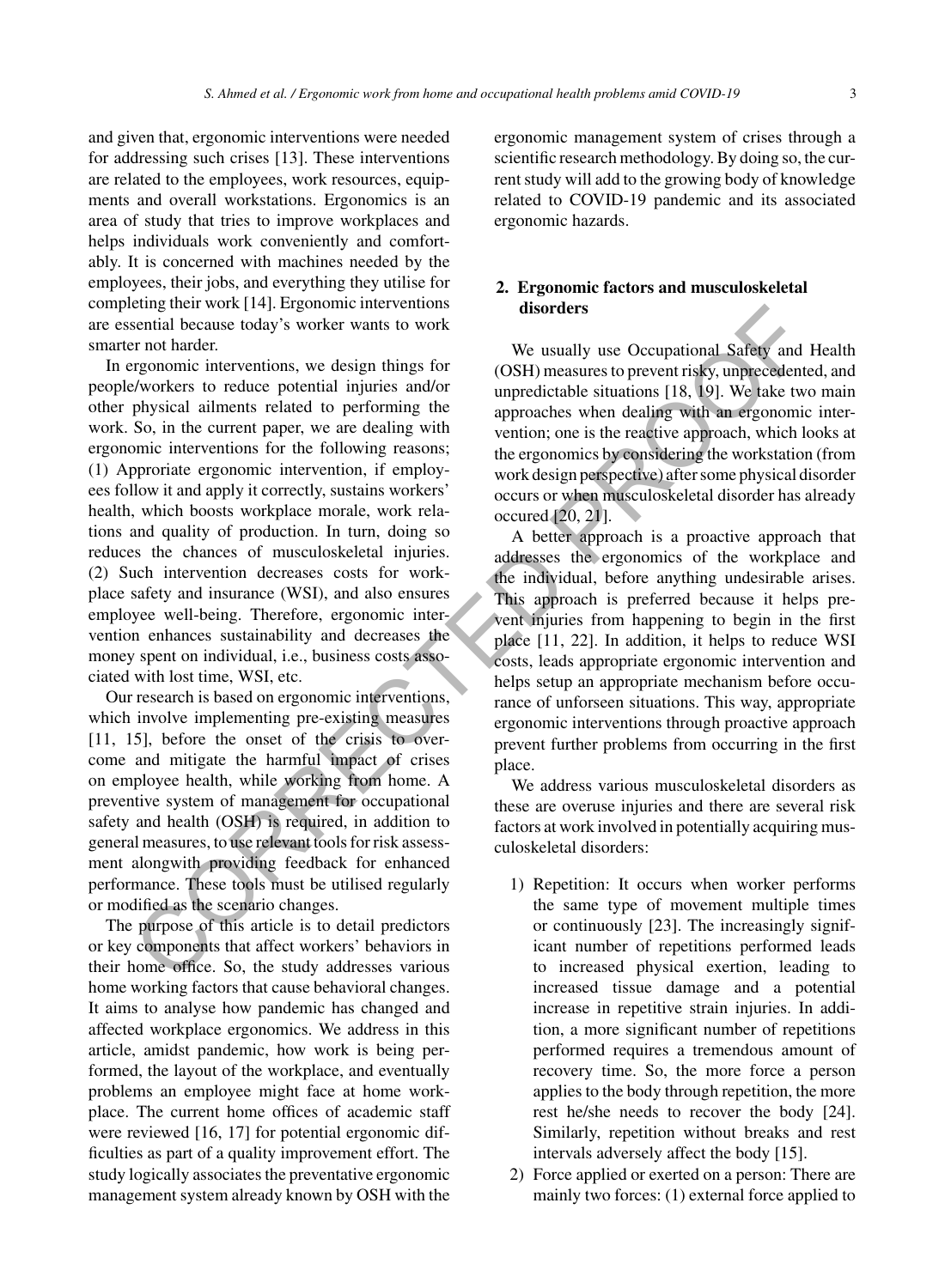and given that, ergonomic interventions were needed for addressing such crises [13]. These interventions are related to the employees, work resources, equipments and overall workstations. Ergonomics is an area of study that tries to improve workplaces and helps individuals work conveniently and comfortably. It is concerned with machines needed by the employees, their jobs, and everything they utilise for completing their work [14]. Ergonomic interventions are essential because today's worker wants to work smarter not harder.

In ergonomic interventions, we design things for people/workers to reduce potential injuries and/or other physical ailments related to performing the work. So, in the current paper, we are dealing with ergonomic interventions for the following reasons; (1) Approriate ergonomic intervention, if employees follow it and apply it correctly, sustains workers' health, which boosts workplace morale, work relations and quality of production. In turn, doing so reduces the chances of musculoskeletal injuries. (2) Such intervention decreases costs for workplace safety and insurance (WSI), and also ensures employee well-being. Therefore, ergonomic intervention enhances sustainability and decreases the money spent on individual, i.e., business costs associated with lost time, WSI, etc. Considering that with the tractic comparison of the sum of hard and point of the same of the sum of the same of the sum of the same of the same of the same of the same of the same of the same of the same of the same of the

Our research is based on ergonomic interventions, which involve implementing pre-existing measures [11, 15], before the onset of the crisis to overcome and mitigate the harmful impact of crises on employee health, while working from home. A preventive system of management for occupational safety and health (OSH) is required, in addition to general measures, to use relevant tools for risk assessment alongwith providing feedback for enhanced performance. These tools must be utilised regularly or modified as the scenario changes.

The purpose of this article is to detail predictors or key components that affect workers' behaviors in their home office. So, the study addresses various home working factors that cause behavioral changes. It aims to analyse how pandemic has changed and affected workplace ergonomics. We address in this article, amidst pandemic, how work is being performed, the layout of the workplace, and eventually problems an employee might face at home workplace. The current home offices of academic staff were reviewed [16, 17] for potential ergonomic difficulties as part of a quality improvement effort. The study logically associates the preventative ergonomic management system already known by OSH with the ergonomic management system of crises through a scientific research methodology. By doing so, the current study will add to the growing body of knowledge related to COVID-19 pandemic and its associated ergonomic hazards.

# **2. Ergonomic factors and musculoskeletal disorders**

We usually use Occupational Safety and Health (OSH) measures to prevent risky, unprecedented, and unpredictable situations [18, 19]. We take two main approaches when dealing with an ergonomic intervention; one is the reactive approach, which looks at the ergonomics by considering the workstation (from work design perspective) after some physical disorder occurs or when musculoskeletal disorder has already occured [20, 21].

A better approach is a proactive approach that addresses the ergonomics of the workplace and the individual, before anything undesirable arises. This approach is preferred because it helps prevent injuries from happening to begin in the first place [11, 22]. In addition, it helps to reduce WSI costs, leads appropriate ergonomic intervention and helps setup an appropriate mechanism before occurance of unforseen situations. This way, appropriate ergonomic interventions through proactive approach prevent further problems from occurring in the first place.

We address various musculoskeletal disorders as these are overuse injuries and there are several risk factors at work involved in potentially acquiring musculoskeletal disorders:

- 1) Repetition: It occurs when worker performs the same type of movement multiple times or continuously [23]. The increasingly significant number of repetitions performed leads to increased physical exertion, leading to increased tissue damage and a potential increase in repetitive strain injuries. In addition, a more significant number of repetitions performed requires a tremendous amount of recovery time. So, the more force a person applies to the body through repetition, the more rest he/she needs to recover the body [24]. Similarly, repetition without breaks and rest intervals adversely affect the body [15].
- 2) Force applied or exerted on a person: There are mainly two forces: (1) external force applied to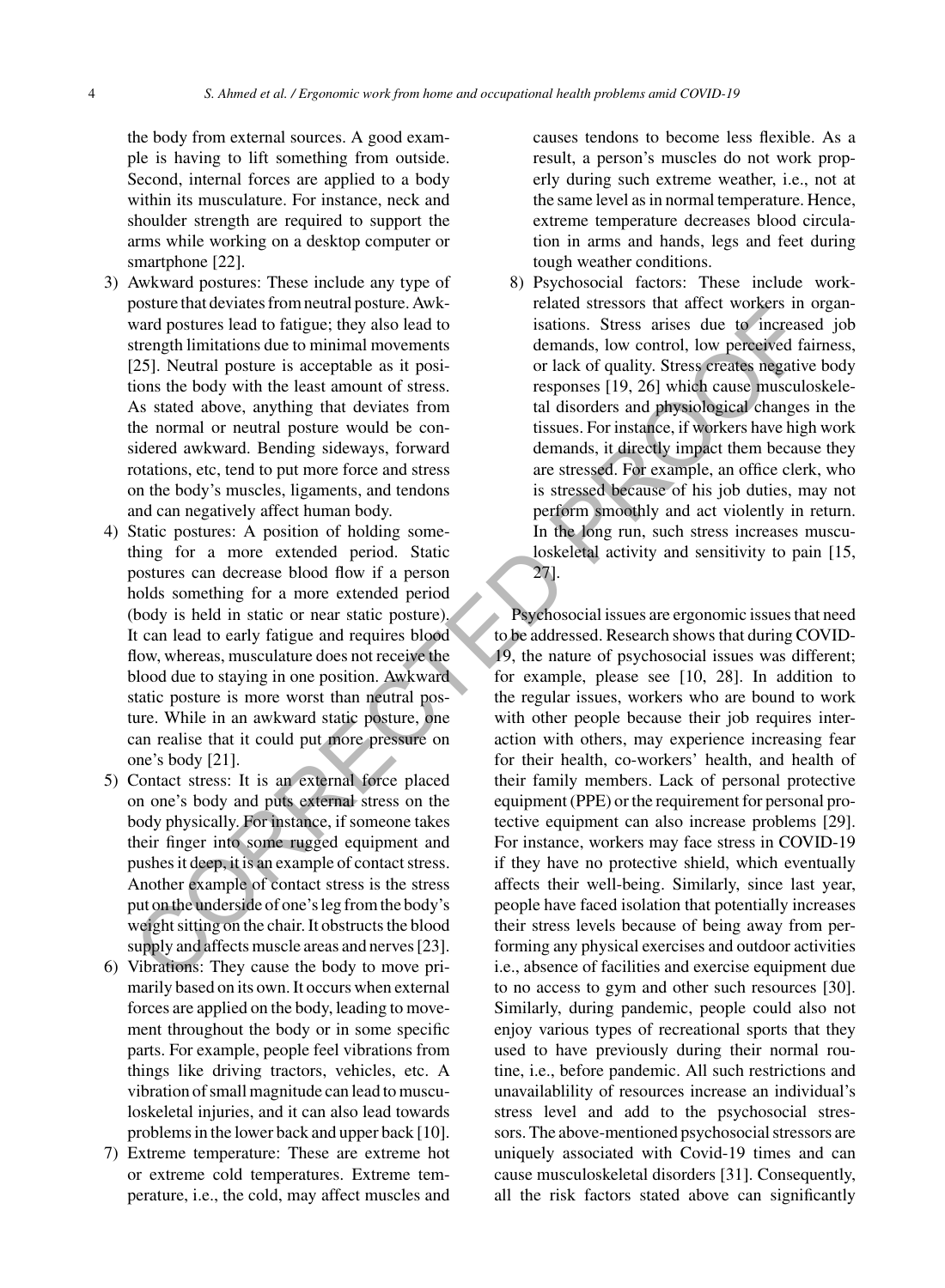the body from external sources. A good example is having to lift something from outside. Second, internal forces are applied to a body within its musculature. For instance, neck and shoulder strength are required to support the arms while working on a desktop computer or smartphone [22].

- 3) Awkward postures: These include any type of posture that deviates from neutral posture. Awkward postures lead to fatigue; they also lead to strength limitations due to minimal movements [25]. Neutral posture is acceptable as it positions the body with the least amount of stress. As stated above, anything that deviates from the normal or neutral posture would be considered awkward. Bending sideways, forward rotations, etc, tend to put more force and stress on the body's muscles, ligaments, and tendons and can negatively affect human body.
- 4) Static postures: A position of holding something for a more extended period. Static postures can decrease blood flow if a person holds something for a more extended period (body is held in static or near static posture). It can lead to early fatigue and requires blood flow, whereas, musculature does not receive the blood due to staying in one position. Awkward static posture is more worst than neutral posture. While in an awkward static posture, one can realise that it could put more pressure on one's body [21].
- 5) Contact stress: It is an external force placed on one's body and puts external stress on the body physically. For instance, if someone takes their finger into some rugged equipment and pushes it deep, it is an example of contact stress. Another example of contact stress is the stress put on the underside of one's leg from the body's weight sitting on the chair. It obstructs the blood supply and affects muscle areas and nerves [23].
- 6) Vibrations: They cause the body to move primarily based on its own. It occurs when external forces are applied on the body, leading to movement throughout the body or in some specific parts. For example, people feel vibrations from things like driving tractors, vehicles, etc. A vibration of small magnitude can lead to musculoskeletal injuries, and it can also lead towards problems in the lower back and upper back [10].
- 7) Extreme temperature: These are extreme hot or extreme cold temperatures. Extreme temperature, i.e., the cold, may affect muscles and

causes tendons to become less flexible. As a result, a person's muscles do not work properly during such extreme weather, i.e., not at the same level as in normal temperature. Hence, extreme temperature decreases blood circulation in arms and hands, legs and feet during tough weather conditions.

8) Psychosocial factors: These include workrelated stressors that affect workers in organisations. Stress arises due to increased job demands, low control, low perceived fairness, or lack of quality. Stress creates negative body responses [19, 26] which cause musculoskeletal disorders and physiological changes in the tissues. For instance, if workers have high work demands, it directly impact them because they are stressed. For example, an office clerk, who is stressed because of his job duties, may not perform smoothly and act violently in return. In the long run, such stress increases musculoskeletal activity and sensitivity to pain [15, 27].

Psychosocial issues are ergonomic issues that need to be addressed. Research shows that during COVID-19, the nature of psychosocial issues was different; for example, please see [10, 28]. In addition to the regular issues, workers who are bound to work with other people because their job requires interaction with others, may experience increasing fear for their health, co-workers' health, and health of their family members. Lack of personal protective equipment (PPE) or the requirement for personal protective equipment can also increase problems [29]. For instance, workers may face stress in COVID-19 if they have no protective shield, which eventually affects their well-being. Similarly, since last year, people have faced isolation that potentially increases their stress levels because of being away from performing any physical exercises and outdoor activities i.e., absence of facilities and exercise equipment due to no access to gym and other such resources [30]. Similarly, during pandemic, people could also not enjoy various types of recreational sports that they used to have previously during their normal routine, i.e., before pandemic. All such restrictions and unavailablility of resources increase an individual's stress level and add to the psychosocial stressors. The above-mentioned psychosocial stressors are uniquely associated with Covid-19 times and can cause musculoskeletal disorders [31]. Consequently, all the risk factors stated above can significantly Associated to method to the term in the control is the same of the term of positive and the method of the term of the same of the same of the same of the same of the same of the same of the same of the same of the same of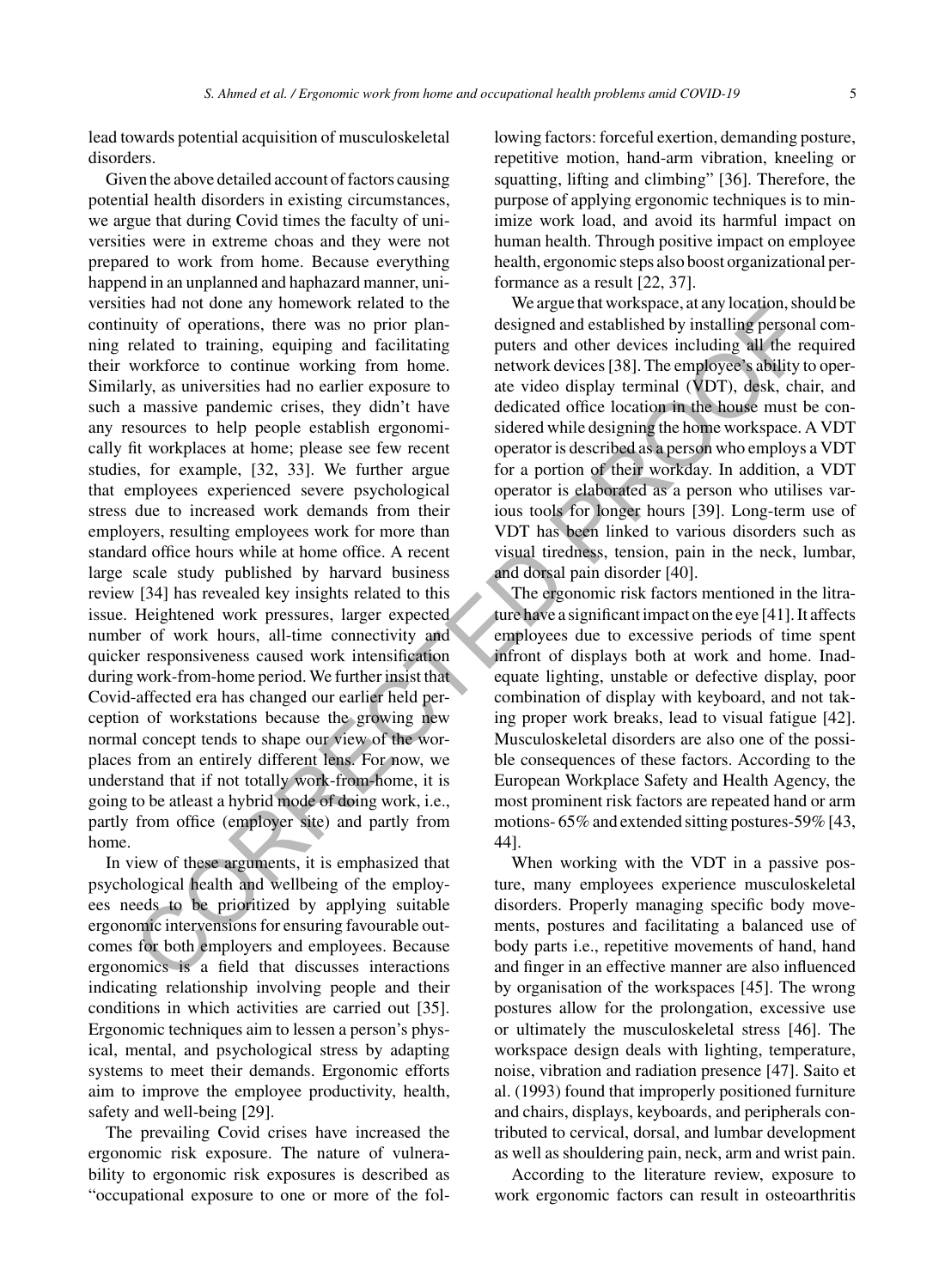lead towards potential acquisition of musculoskeletal disorders.

Given the above detailed account of factors causing potential health disorders in existing circumstances, we argue that during Covid times the faculty of universities were in extreme choas and they were not prepared to work from home. Because everything happend in an unplanned and haphazard manner, universities had not done any homework related to the continuity of operations, there was no prior planning related to training, equiping and facilitating their workforce to continue working from home. Similarly, as universities had no earlier exposure to such a massive pandemic crises, they didn't have any resources to help people establish ergonomically fit workplaces at home; please see few recent studies, for example, [32, 33]. We further argue that employees experienced severe psychological stress due to increased work demands from their employers, resulting employees work for more than standard office hours while at home office. A recent large scale study published by harvard business review [34] has revealed key insights related to this issue. Heightened work pressures, larger expected number of work hours, all-time connectivity and quicker responsiveness caused work intensification during work-from-home period. We further insist that Covid-affected era has changed our earlier held perception of workstations because the growing new normal concept tends to shape our view of the worplaces from an entirely different lens. For now, we understand that if not totally work-from-home, it is going to be atleast a hybrid mode of doing work, i.e., partly from office (employer site) and partly from home. So and other any notice and primarite and the section of the section of the section of the section of the section of the section of the section of the section of the section of the section of the section of the section of

In view of these arguments, it is emphasized that psychological health and wellbeing of the employees needs to be prioritized by applying suitable ergonomic intervensions for ensuring favourable outcomes for both employers and employees. Because ergonomics is a field that discusses interactions indicating relationship involving people and their conditions in which activities are carried out [35]. Ergonomic techniques aim to lessen a person's physical, mental, and psychological stress by adapting systems to meet their demands. Ergonomic efforts aim to improve the employee productivity, health, safety and well-being [29].

The prevailing Covid crises have increased the ergonomic risk exposure. The nature of vulnerability to ergonomic risk exposures is described as "occupational exposure to one or more of the following factors: forceful exertion, demanding posture, repetitive motion, hand-arm vibration, kneeling or squatting, lifting and climbing" [36]. Therefore, the purpose of applying ergonomic techniques is to minimize work load, and avoid its harmful impact on human health. Through positive impact on employee health, ergonomic steps also boost organizational performance as a result [22, 37].

We argue that workspace, at any location, should be designed and established by installing personal computers and other devices including all the required network devices [38]. The employee's ability to operate video display terminal (VDT), desk, chair, and dedicated office location in the house must be considered while designing the home workspace. A VDT operator is described as a person who employs a VDT for a portion of their workday. In addition, a VDT operator is elaborated as a person who utilises various tools for longer hours [39]. Long-term use of VDT has been linked to various disorders such as visual tiredness, tension, pain in the neck, lumbar, and dorsal pain disorder [40].

The ergonomic risk factors mentioned in the litrature have a significant impact on the eye [41]. It affects employees due to excessive periods of time spent infront of displays both at work and home. Inadequate lighting, unstable or defective display, poor combination of display with keyboard, and not taking proper work breaks, lead to visual fatigue [42]. Musculoskeletal disorders are also one of the possible consequences of these factors. According to the European Workplace Safety and Health Agency, the most prominent risk factors are repeated hand or arm motions- 65% and extended sitting postures-59% [43, 44].

When working with the VDT in a passive posture, many employees experience musculoskeletal disorders. Properly managing specific body movements, postures and facilitating a balanced use of body parts i.e., repetitive movements of hand, hand and finger in an effective manner are also influenced by organisation of the workspaces [45]. The wrong postures allow for the prolongation, excessive use or ultimately the musculoskeletal stress [46]. The workspace design deals with lighting, temperature, noise, vibration and radiation presence [47]. Saito et al. (1993) found that improperly positioned furniture and chairs, displays, keyboards, and peripherals contributed to cervical, dorsal, and lumbar development as well as shouldering pain, neck, arm and wrist pain.

According to the literature review, exposure to work ergonomic factors can result in osteoarthritis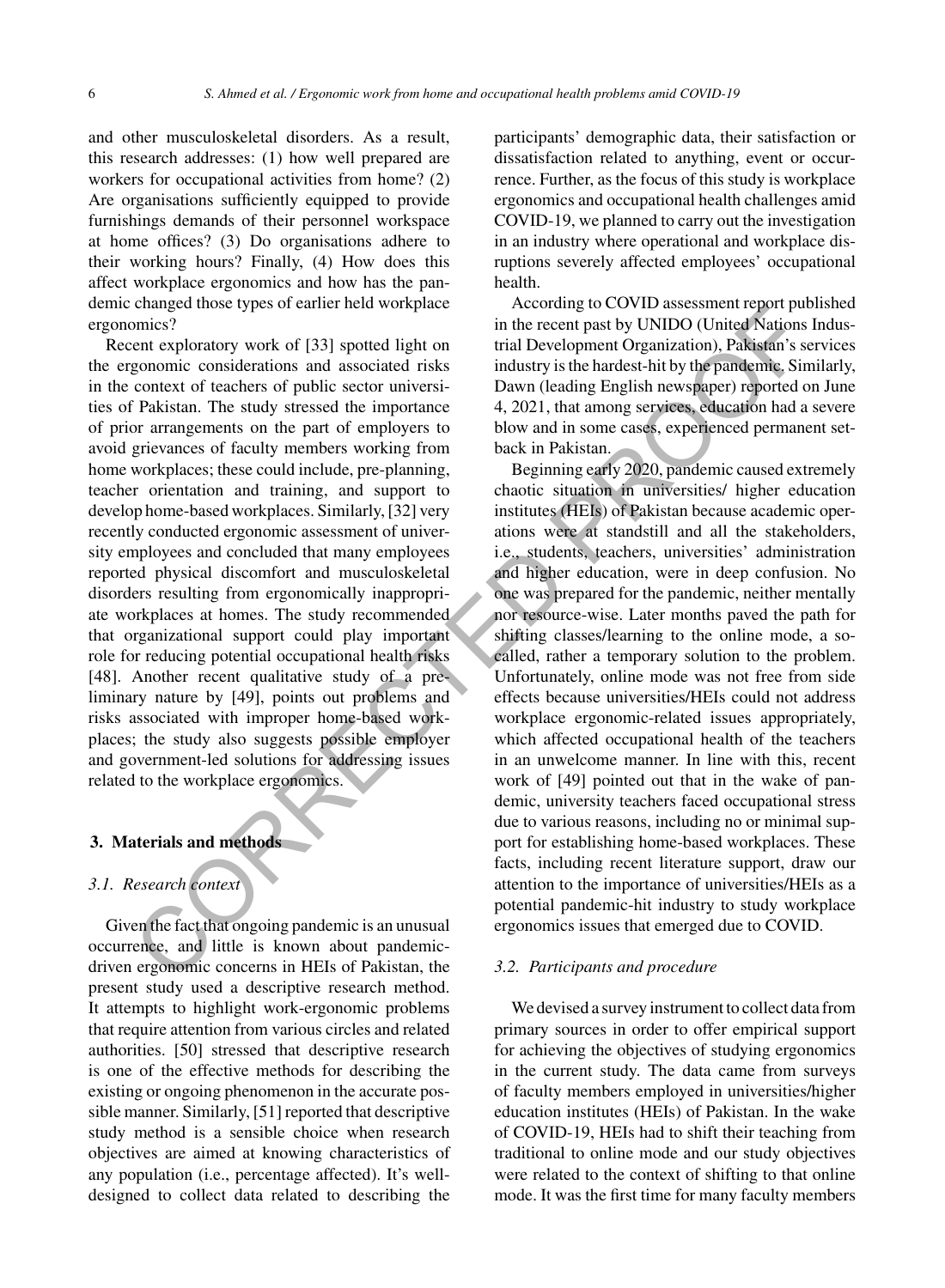and other musculoskeletal disorders. As a result, this research addresses: (1) how well prepared are workers for occupational activities from home? (2) Are organisations sufficiently equipped to provide furnishings demands of their personnel workspace at home offices? (3) Do organisations adhere to their working hours? Finally, (4) How does this affect workplace ergonomics and how has the pandemic changed those types of earlier held workplace ergonomics?

Recent exploratory work of [33] spotted light on the ergonomic considerations and associated risks in the context of teachers of public sector universities of Pakistan. The study stressed the importance of prior arrangements on the part of employers to avoid grievances of faculty members working from home workplaces; these could include, pre-planning, teacher orientation and training, and support to develop home-based workplaces. Similarly, [32] very recently conducted ergonomic assessment of university employees and concluded that many employees reported physical discomfort and musculoskeletal disorders resulting from ergonomically inappropriate workplaces at homes. The study recommended that organizational support could play important role for reducing potential occupational health risks [48]. Another recent qualitative study of a preliminary nature by [49], points out problems and risks associated with improper home-based workplaces; the study also suggests possible employer and government-led solutions for addressing issues related to the workplace ergonomics.

#### **3. Materials and methods**

# *3.1. Research context*

Given the fact that ongoing pandemic is an unusual occurrence, and little is known about pandemicdriven ergonomic concerns in HEIs of Pakistan, the present study used a descriptive research method. It attempts to highlight work-ergonomic problems that require attention from various circles and related authorities. [50] stressed that descriptive research is one of the effective methods for describing the existing or ongoing phenomenon in the accurate possible manner. Similarly, [51] reported that descriptive study method is a sensible choice when research objectives are aimed at knowing characteristics of any population (i.e., percentage affected). It's welldesigned to collect data related to describing the

participants' demographic data, their satisfaction or dissatisfaction related to anything, event or occurrence. Further, as the focus of this study is workplace ergonomics and occupational health challenges amid COVID-19, we planned to carry out the investigation in an industry where operational and workplace disruptions severely affected employees' occupational health.

According to COVID assessment report published in the recent past by UNIDO (United Nations Industrial Development Organization), Pakistan's services industry is the hardest-hit by the pandemic. Similarly, Dawn (leading English newspaper) reported on June 4, 2021, that among services, education had a severe blow and in some cases, experienced permanent setback in Pakistan.

Beginning early 2020, pandemic caused extremely chaotic situation in universities/ higher education institutes (HEIs) of Pakistan because academic operations were at standstill and all the stakeholders, i.e., students, teachers, universities' administration and higher education, were in deep confusion. No one was prepared for the pandemic, neither mentally nor resource-wise. Later months paved the path for shifting classes/learning to the online mode, a socalled, rather a temporary solution to the problem. Unfortunately, online mode was not free from side effects because universities/HEIs could not address workplace ergonomic-related issues appropriately, which affected occupational health of the teachers in an unwelcome manner. In line with this, recent work of [49] pointed out that in the wake of pandemic, university teachers faced occupational stress due to various reasons, including no or minimal support for establishing home-based workplaces. These facts, including recent literature support, draw our attention to the importance of universities/HEIs as a potential pandemic-hit industry to study workplace ergonomics issues that emerged due to COVID. change of the studient subset of the studient in the studient subset of the studient subset of the studient subset in the technical Development Consider and Development Consider and Development Consider and Development Co

#### *3.2. Participants and procedure*

We devised a survey instrument to collect data from primary sources in order to offer empirical support for achieving the objectives of studying ergonomics in the current study. The data came from surveys of faculty members employed in universities/higher education institutes (HEIs) of Pakistan. In the wake of COVID-19, HEIs had to shift their teaching from traditional to online mode and our study objectives were related to the context of shifting to that online mode. It was the first time for many faculty members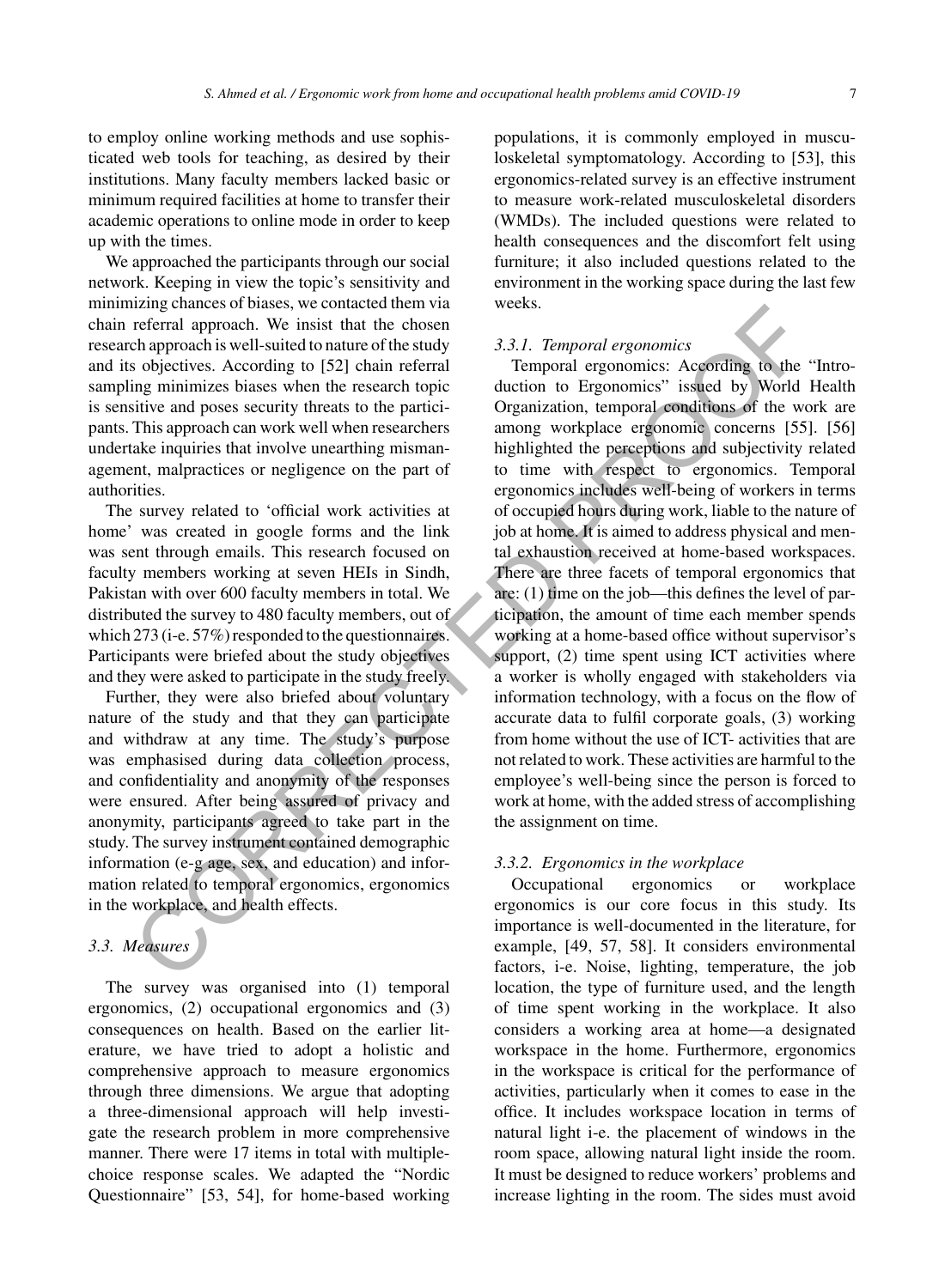to employ online working methods and use sophisticated web tools for teaching, as desired by their institutions. Many faculty members lacked basic or minimum required facilities at home to transfer their academic operations to online mode in order to keep up with the times.

We approached the participants through our social network. Keeping in view the topic's sensitivity and minimizing chances of biases, we contacted them via chain referral approach. We insist that the chosen research approach is well-suited to nature of the study and its objectives. According to [52] chain referral sampling minimizes biases when the research topic is sensitive and poses security threats to the participants. This approach can work well when researchers undertake inquiries that involve unearthing mismanagement, malpractices or negligence on the part of authorities.

The survey related to 'official work activities at home' was created in google forms and the link was sent through emails. This research focused on faculty members working at seven HEIs in Sindh, Pakistan with over 600 faculty members in total. We distributed the survey to 480 faculty members, out of which 273 (i-e. 57%) responded to the questionnaires. Participants were briefed about the study objectives and they were asked to participate in the study freely.

Further, they were also briefed about voluntary nature of the study and that they can participate and withdraw at any time. The study's purpose was emphasised during data collection process, and confidentiality and anonymity of the responses were ensured. After being assured of privacy and anonymity, participants agreed to take part in the study. The survey instrument contained demographic information (e-g age, sex, and education) and information related to temporal ergonomics, ergonomics in the workplace, and health effects.

# *3.3. Measures*

The survey was organised into (1) temporal ergonomics, (2) occupational ergonomics and (3) consequences on health. Based on the earlier literature, we have tried to adopt a holistic and comprehensive approach to measure ergonomics through three dimensions. We argue that adopting a three-dimensional approach will help investigate the research problem in more comprehensive manner. There were 17 items in total with multiplechoice response scales. We adapted the "Nordic Questionnaire" [53, 54], for home-based working populations, it is commonly employed in musculoskeletal symptomatology. According to [53], this ergonomics-related survey is an effective instrument to measure work-related musculoskeletal disorders (WMDs). The included questions were related to health consequences and the discomfort felt using furniture; it also included questions related to the environment in the working space during the last few weeks.

#### *3.3.1. Temporal ergonomics*

Temporal ergonomics: According to the "Introduction to Ergonomics" issued by World Health Organization, temporal conditions of the work are among workplace ergonomic concerns [55]. [56] highlighted the perceptions and subjectivity related to time with respect to ergonomics. Temporal ergonomics includes well-being of workers in terms of occupied hours during work, liable to the nature of job at home. It is aimed to address physical and mental exhaustion received at home-based workspaces. There are three facets of temporal ergonomics that are: (1) time on the job—this defines the level of participation, the amount of time each member spends working at a home-based office without supervisor's support, (2) time spent using ICT activities where a worker is wholly engaged with stakeholders via information technology, with a focus on the flow of accurate data to fulfil corporate goals, (3) working from home without the use of ICT- activities that are not related to work. These activities are harmful to the employee's well-being since the person is forced to work at home, with the added stress of accomplishing the assignment on time. Example these broads, we consider the study of the study of the study of the study sole and the study of the study sole of the study of the study of the study of the study of the study of the study of the study of the stu

#### *3.3.2. Ergonomics in the workplace*

Occupational ergonomics or workplace ergonomics is our core focus in this study. Its importance is well-documented in the literature, for example, [49, 57, 58]. It considers environmental factors, i-e. Noise, lighting, temperature, the job location, the type of furniture used, and the length of time spent working in the workplace. It also considers a working area at home—a designated workspace in the home. Furthermore, ergonomics in the workspace is critical for the performance of activities, particularly when it comes to ease in the office. It includes workspace location in terms of natural light i-e. the placement of windows in the room space, allowing natural light inside the room. It must be designed to reduce workers' problems and increase lighting in the room. The sides must avoid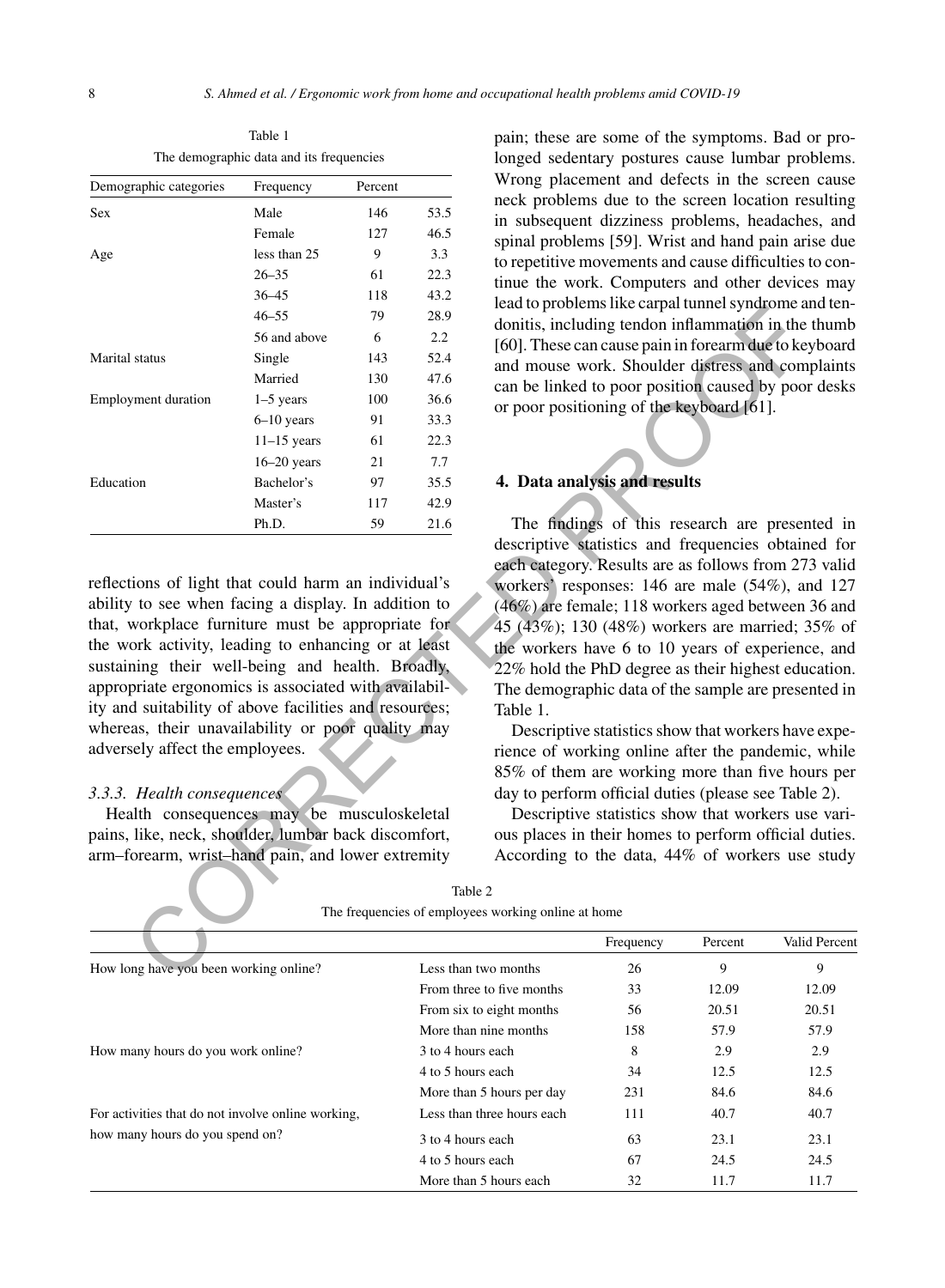Table 1 The demographic data and its frequencies

| Demographic categories                                 | Frequency     | Percent |      | Wrong placement and defects in the screen                                                 |
|--------------------------------------------------------|---------------|---------|------|-------------------------------------------------------------------------------------------|
| Sex                                                    | Male          | 146     | 53.5 | neck problems due to the screen location re<br>in subsequent dizziness problems, headache |
|                                                        | Female        | 127     | 46.5 | spinal problems [59]. Wrist and hand pain art                                             |
| Age                                                    | less than 25  | 9       | 3.3  | to repetitive movements and cause difficulties                                            |
|                                                        | $26 - 35$     | 61      | 22.3 | tinue the work. Computers and other device                                                |
|                                                        | $36 - 45$     | 118     | 43.2 | lead to problems like carpal tunnel syndrome a                                            |
|                                                        | $46 - 55$     | 79      | 28.9 | donitis, including tendon inflammation in the                                             |
|                                                        | 56 and above  | 6       | 2.2  | [60]. These can cause pain in forearm due to ke                                           |
| Marital status                                         | Single        | 143     | 52.4 | and mouse work. Shoulder distress and com                                                 |
|                                                        | Married       | 130     | 47.6 | can be linked to poor position caused by poor                                             |
| <b>Employment duration</b>                             | $1-5$ years   | 100     | 36.6 | or poor positioning of the keyboard [61].                                                 |
|                                                        | $6-10$ years  | 91      | 33.3 |                                                                                           |
|                                                        | $11-15$ years | 61      | 22.3 |                                                                                           |
|                                                        | $16-20$ years | 21      | 7.7  |                                                                                           |
| Education                                              | Bachelor's    | 97      | 35.5 | 4. Data analysis and results                                                              |
|                                                        | Master's      | 117     | 42.9 |                                                                                           |
|                                                        | Ph.D.         | 59      | 21.6 | The findings of this research are preser                                                  |
|                                                        |               |         |      | descriptive statistics and frequencies obtain                                             |
|                                                        |               |         |      | each category. Results are as follows from 27                                             |
| reflections of light that could harm an individual's   |               |         |      | workers' responses: 146 are male (54%), and                                               |
| ability to see when facing a display. In addition to   |               |         |      | (46%) are female; 118 workers aged between                                                |
| that, workplace furniture must be appropriate for      |               |         |      | 45 (43%); 130 (48%) workers are married; 3                                                |
| the work activity, leading to enhancing or at least    |               |         |      | the workers have 6 to 10 years of experience                                              |
| sustaining their well-being and health. Broadly,       |               |         |      | 22% hold the PhD degree as their highest edu                                              |
| appropriate ergonomics is associated with availabil-   |               |         |      | The demographic data of the sample are prese                                              |
| ity and suitability of above facilities and resources; |               |         |      | Table 1.                                                                                  |
| whereas, their unavailability or poor quality may      |               |         |      | Descriptive statistics show that workers have                                             |
| adversely affect the employees.                        |               |         |      | rience of working online after the pandemic.                                              |
|                                                        |               |         |      | 85% of them are working more than five ho                                                 |
| 3.3.3. Health consequences                             |               |         |      | day to perform official duties (please see Tabl                                           |
| Health consequences may be musculoskeletal             |               |         |      | Descriptive statistics show that workers us                                               |
| pains, like, neck, shoulder, lumbar back discomfort,   |               |         |      | ous places in their homes to perform official                                             |
| arm-forearm, wrist-hand pain, and lower extremity      |               |         |      | According to the data, 44% of workers use                                                 |
|                                                        |               |         |      | Table 2                                                                                   |
|                                                        |               |         |      | The frequencies of employees working online at home                                       |
|                                                        |               |         |      | Frequency<br>Valio<br>Percent                                                             |
| How long have you been working online?                 |               |         |      | 9<br>26<br>Less than two months                                                           |
|                                                        |               |         |      |                                                                                           |

#### *3.3.3. Health consequences*

pain; these are some of the symptoms. Bad or prolonged sedentary postures cause lumbar problems. Wrong placement and defects in the screen cause neck problems due to the screen location resulting in subsequent dizziness problems, headaches, and spinal problems [59]. Wrist and hand pain arise due to repetitive movements and cause difficulties to continue the work. Computers and other devices may lead to problems like carpal tunnel syndrome and tendonitis, including tendon inflammation in the thumb [60]. These can cause pain in forearm due to keyboard and mouse work. Shoulder distress and complaints can be linked to poor position caused by poor desks or poor positioning of the keyboard [61].

#### **4. Data analysis and results**

The findings of this research are presented in descriptive statistics and frequencies obtained for each category. Results are as follows from 273 valid workers' responses: 146 are male (54%), and 127 (46%) are female; 118 workers aged between 36 and 45 (43%); 130 (48%) workers are married; 35% of the workers have 6 to 10 years of experience, and 22% hold the PhD degree as their highest education. The demographic data of the sample are presented in Table 1.

Descriptive statistics show that workers have experience of working online after the pandemic, while 85% of them are working more than five hours per day to perform official duties (please see Table 2).

Descriptive statistics show that workers use various places in their homes to perform official duties. According to the data, 44% of workers use study

|                                                    |                            | Frequency | Percent | Valid Percent |
|----------------------------------------------------|----------------------------|-----------|---------|---------------|
| How long have you been working online?             | Less than two months       | 26        | 9       | 9             |
|                                                    | From three to five months  | 33        | 12.09   | 12.09         |
|                                                    | From six to eight months   | 56        | 20.51   | 20.51         |
|                                                    | More than nine months      | 158       | 57.9    | 57.9          |
| How many hours do you work online?                 | 3 to 4 hours each          | 8         | 2.9     | 2.9           |
|                                                    | 4 to 5 hours each          | 34        | 12.5    | 12.5          |
|                                                    | More than 5 hours per day  | 231       | 84.6    | 84.6          |
| For activities that do not involve online working, | Less than three hours each | 111       | 40.7    | 40.7          |
| how many hours do you spend on?                    | 3 to 4 hours each          | 63        | 23.1    | 23.1          |
|                                                    | 4 to 5 hours each          | 67        | 24.5    | 24.5          |
|                                                    | More than 5 hours each     | 32        | 11.7    | 11.7          |

| Table 2                                             |
|-----------------------------------------------------|
| The frequencies of employees working online at home |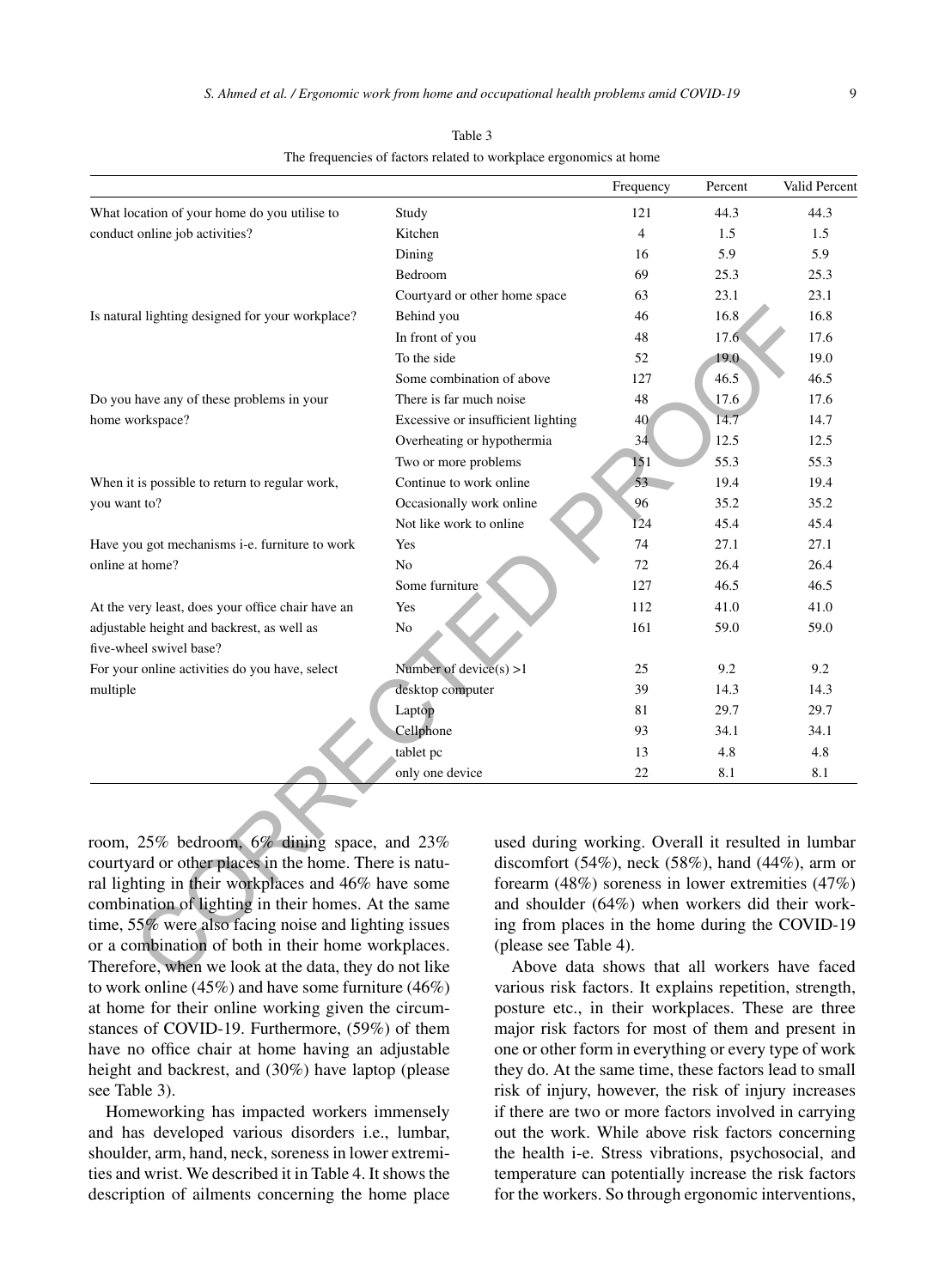|                                                        |                                                              | Frequency                                    | Percent | Valid Percent |
|--------------------------------------------------------|--------------------------------------------------------------|----------------------------------------------|---------|---------------|
| What location of your home do you utilise to           | Study                                                        | 121                                          | 44.3    | 44.3          |
| conduct online job activities?                         | Kitchen                                                      | $\overline{4}$                               | 1.5     | 1.5           |
|                                                        | Dining                                                       | 16                                           | 5.9     | 5.9           |
|                                                        | Bedroom                                                      | 69                                           | 25.3    | 25.3          |
|                                                        | Courtyard or other home space                                | 63                                           | 23.1    | 23.1          |
| Is natural lighting designed for your workplace?       | Behind you                                                   | 46                                           | 16.8    | 16.8          |
|                                                        | In front of you                                              | 48                                           | 17.6    | 17.6          |
|                                                        | To the side                                                  | 52                                           | 19.0    | 19.0          |
|                                                        | Some combination of above                                    | 127                                          | 46.5    | 46.5          |
| Do you have any of these problems in your              | There is far much noise                                      | 48                                           | 17.6    | 17.6          |
| home workspace?                                        | Excessive or insufficient lighting                           | 40                                           | 14.7    | 14.7          |
|                                                        | Overheating or hypothermia                                   | 34                                           | 12.5    | 12.5          |
|                                                        | Two or more problems                                         | 151                                          | 55.3    | 55.3          |
| When it is possible to return to regular work,         | Continue to work online                                      | 53                                           | 19.4    | 19.4          |
| you want to?                                           | Occasionally work online                                     | 96                                           | 35.2    | 35.2          |
|                                                        | Not like work to online                                      | 124                                          | 45.4    | 45.4          |
| Have you got mechanisms <i>i</i> -e. furniture to work | Yes                                                          | 74                                           | 27.1    | 27.1          |
| online at home?                                        | No                                                           | 72                                           | 26.4    | 26.4          |
|                                                        | Some furniture                                               | 127                                          | 46.5    | 46.5          |
| At the very least, does your office chair have an      | Yes                                                          | 112                                          | 41.0    | 41.0          |
| adjustable height and backrest, as well as             | No                                                           | 161                                          | 59.0    | 59.0          |
| five-wheel swivel base?                                |                                                              |                                              |         |               |
| For your online activities do you have, select         | Number of device $(s) > 1$                                   | 25                                           | 9.2     | 9.2           |
| multiple                                               | desktop computer                                             | 39                                           | 14.3    | 14.3          |
|                                                        | Laptop                                                       | 81                                           | 29.7    | 29.7          |
|                                                        | Cellphone                                                    | 93                                           | 34.1    | 34.1          |
|                                                        | tablet pc                                                    | 13                                           | 4.8     | 4.8           |
|                                                        | only one device                                              | 22                                           | 8.1     | 8.1           |
|                                                        |                                                              |                                              |         |               |
|                                                        |                                                              |                                              |         |               |
| room, 25% bedroom, 6% dining space, and 23%            | used during working. Overall it resulted in lumbar           |                                              |         |               |
| courtyard or other places in the home. There is natu-  | discomfort $(54\%)$ , neck $(58\%)$ , hand $(44\%)$ , arm or |                                              |         |               |
| ral lighting in their workplaces and 46% have some     | forearm (48%) soreness in lower extremities (47%)            |                                              |         |               |
| combination of lighting in their homes. At the same    | and shoulder (64%) when workers did their work-              |                                              |         |               |
| time, 55% were also facing noise and lighting issues   | ing from places in the home during the COVID-19              |                                              |         |               |
| or a combination of both in their home workplaces.     | (please see Table 4).                                        |                                              |         |               |
| Therefore, when we look at the data, they do not like  |                                                              | Above data shows that all workers have faced |         |               |
|                                                        |                                                              |                                              |         |               |

Table 3 The frequencies of factors related to workplace ergonomics at home

room, 25% bedroom, 6% dining space, and 23% courtyard or other places in the home. There is natural lighting in their workplaces and 46% have some combination of lighting in their homes. At the same time, 55% were also facing noise and lighting issues or a combination of both in their home workplaces. Therefore, when we look at the data, they do not like to work online (45%) and have some furniture (46%) at home for their online working given the circumstances of COVID-19. Furthermore, (59%) of them have no office chair at home having an adjustable height and backrest, and (30%) have laptop (please see Table 3).

Homeworking has impacted workers immensely and has developed various disorders i.e., lumbar, shoulder, arm, hand, neck, soreness in lower extremities and wrist. We described it in Table 4. It shows the description of ailments concerning the home place

Above data shows that all workers have faced various risk factors. It explains repetition, strength, posture etc., in their workplaces. These are three major risk factors for most of them and present in one or other form in everything or every type of work they do. At the same time, these factors lead to small risk of injury, however, the risk of injury increases if there are two or more factors involved in carrying out the work. While above risk factors concerning the health i-e. Stress vibrations, psychosocial, and temperature can potentially increase the risk factors for the workers. So through ergonomic interventions,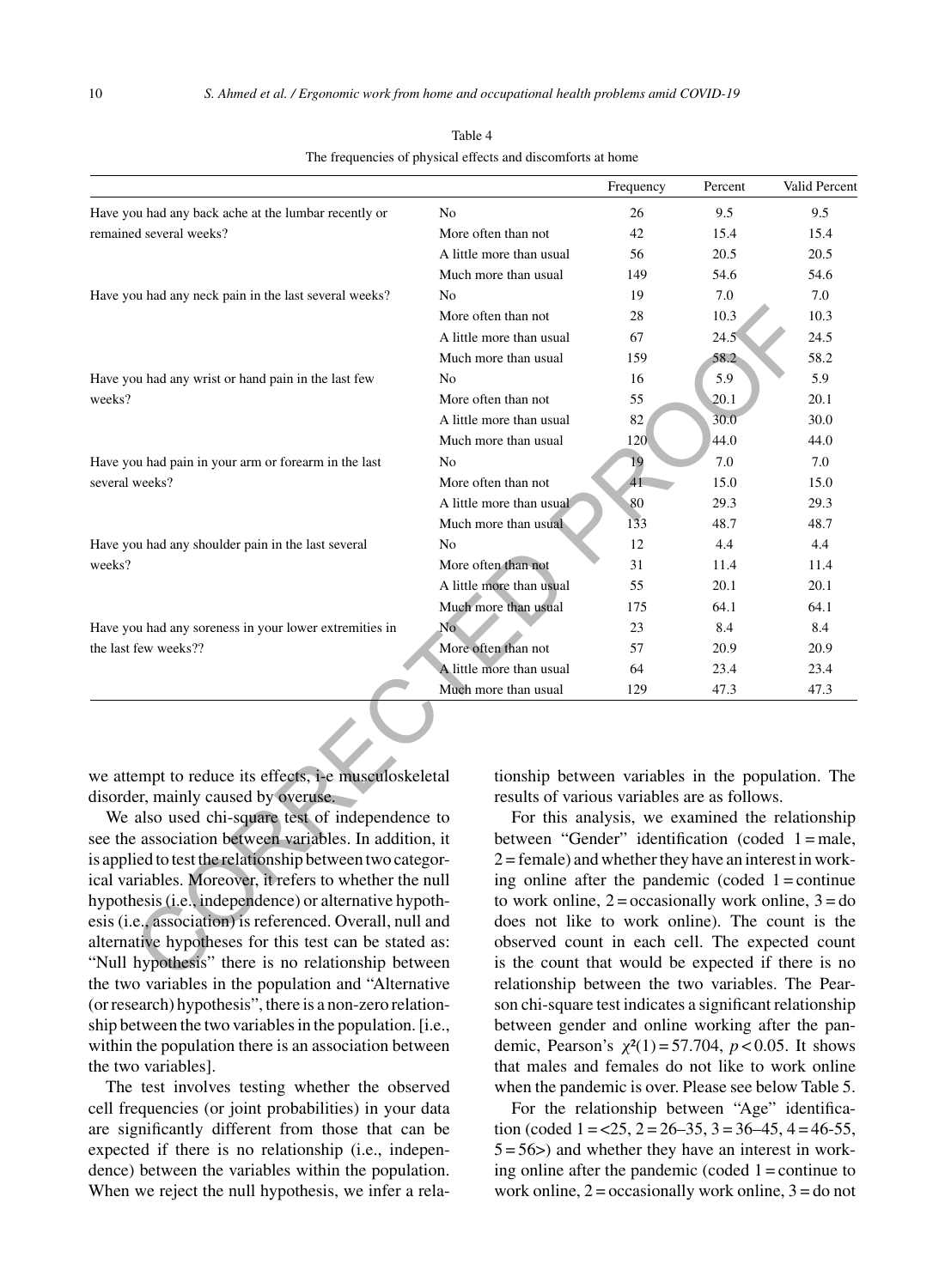|                                                                                                                                     |                          | Frequency                                                                                                                                           | Percent | Valid Percent |
|-------------------------------------------------------------------------------------------------------------------------------------|--------------------------|-----------------------------------------------------------------------------------------------------------------------------------------------------|---------|---------------|
| Have you had any back ache at the lumbar recently or                                                                                | No                       | 26                                                                                                                                                  | 9.5     | 9.5           |
| remained several weeks?                                                                                                             | More often than not      | 42                                                                                                                                                  | 15.4    | 15.4          |
|                                                                                                                                     | A little more than usual | 56                                                                                                                                                  | 20.5    | 20.5          |
|                                                                                                                                     | Much more than usual     | 149                                                                                                                                                 | 54.6    | 54.6          |
| Have you had any neck pain in the last several weeks?                                                                               | No                       | 19                                                                                                                                                  | 7.0     | 7.0           |
|                                                                                                                                     | More often than not      | 28                                                                                                                                                  | 10.3    | 10.3          |
|                                                                                                                                     | A little more than usual | 67                                                                                                                                                  | 24.5    | 24.5          |
|                                                                                                                                     | Much more than usual     | 159                                                                                                                                                 | 58.2    | 58.2          |
| Have you had any wrist or hand pain in the last few                                                                                 | N <sub>0</sub>           | 16                                                                                                                                                  | 5.9     | 5.9           |
| weeks?                                                                                                                              | More often than not      | 55                                                                                                                                                  | 20.1    | 20.1          |
|                                                                                                                                     | A little more than usual | 82                                                                                                                                                  | 30.0    | 30.0          |
|                                                                                                                                     | Much more than usual     | 120                                                                                                                                                 | 44.0    | 44.0          |
| Have you had pain in your arm or forearm in the last                                                                                | N <sub>0</sub>           | 19                                                                                                                                                  | 7.0     | 7.0           |
| several weeks?                                                                                                                      | More often than not      | 41                                                                                                                                                  | 15.0    | 15.0          |
|                                                                                                                                     | A little more than usual | 80                                                                                                                                                  | 29.3    | 29.3          |
|                                                                                                                                     | Much more than usual     | 133                                                                                                                                                 | 48.7    | 48.7          |
| Have you had any shoulder pain in the last several                                                                                  | N <sub>0</sub>           | 12                                                                                                                                                  | 4.4     | 4.4           |
| weeks?                                                                                                                              | More often than not      | 31                                                                                                                                                  | 11.4    | 11.4          |
|                                                                                                                                     | A little more than usual | 55                                                                                                                                                  | 20.1    | 20.1          |
|                                                                                                                                     | Much more than usual     | 175                                                                                                                                                 | 64.1    | 64.1          |
| Have you had any soreness in your lower extremities in                                                                              | No                       | 23                                                                                                                                                  | 8.4     | 8.4           |
| the last few weeks??                                                                                                                | More often than not      | 57                                                                                                                                                  | 20.9    | 20.9          |
|                                                                                                                                     | A little more than usual | 64                                                                                                                                                  | 23.4    | 23.4          |
|                                                                                                                                     | Much more than usual     | 129                                                                                                                                                 | 47.3    | 47.3          |
|                                                                                                                                     |                          |                                                                                                                                                     |         |               |
| we attempt to reduce its effects, i-e musculoskeletal                                                                               |                          | tionship between variables in the population. The                                                                                                   |         |               |
| disorder, mainly caused by overuse.<br>We also used chi-square test of independence to                                              |                          | results of various variables are as follows.<br>For this analysis, we examined the relationship                                                     |         |               |
| see the association between variables. In addition, it                                                                              |                          | between "Gender" identification (coded $1 =$ male,                                                                                                  |         |               |
| is applied to test the relationship between two categor-                                                                            |                          | $2 =$ female) and whether they have an interest in work-                                                                                            |         |               |
| ical variables. Moreover, it refers to whether the null                                                                             |                          | ing online after the pandemic (coded $1 =$ continue                                                                                                 |         |               |
| hypothesis (i.e., independence) or alternative hypoth-                                                                              |                          | to work online, $2 = \text{occasionally work online}, 3 = \text{do}$                                                                                |         |               |
| esis (i.e., association) is referenced. Overall, null and                                                                           |                          | does not like to work online). The count is the                                                                                                     |         |               |
| alternative hypotheses for this test can be stated as:                                                                              |                          | observed count in each cell. The expected count                                                                                                     |         |               |
| "Null hypothesis" there is no relationship between                                                                                  |                          | is the count that would be expected if there is no                                                                                                  |         |               |
| $\mathbf{A}$ and $\mathbf{A}$ and $\mathbf{A}$ and $\mathbf{A}$ and $\mathbf{A}$ and $\mathbf{A}$ and $\mathbf{A}$ and $\mathbf{A}$ |                          | $\mathbf{1}$ , $\mathbf{1}$ , $\mathbf{1}$ , $\mathbf{1}$ , $\mathbf{1}$ , $\mathbf{1}$ , $\mathbf{1}$ , $\mathbf{1}$ , $\mathbf{1}$ , $\mathbf{1}$ |         |               |

Table 4 The frequencies of physical effects and discomforts at home

We also used chi-square test of independence to see the association between variables. In addition, it is applied to test the relationship between two categorical variables. Moreover, it refers to whether the null hypothesis (i.e., independence) or alternative hypothesis (i.e., association) is referenced. Overall, null and alternative hypotheses for this test can be stated as: "Null hypothesis" there is no relationship between the two variables in the population and "Alternative (or research) hypothesis", there is a non-zero relationship between the two variables in the population. [i.e., within the population there is an association between the two variables].

The test involves testing whether the observed cell frequencies (or joint probabilities) in your data are significantly different from those that can be expected if there is no relationship (i.e., independence) between the variables within the population. When we reject the null hypothesis, we infer a rela-

For this analysis, we examined the relationship between "Gender" identification (coded 1 = male,  $2 =$  female) and whether they have an interest in working online after the pandemic (coded  $1 =$ continue to work online,  $2 = \alpha$  occasionally work online,  $3 = d\alpha$ does not like to work online). The count is the observed count in each cell. The expected count is the count that would be expected if there is no relationship between the two variables. The Pearson chi-square test indicates a significant relationship between gender and online working after the pandemic, Pearson's  $\chi^2(1) = 57.704$ ,  $p < 0.05$ . It shows that males and females do not like to work online when the pandemic is over. Please see below Table 5.

For the relationship between "Age" identification (coded  $1 = 25$ ,  $2 = 26 - 35$ ,  $3 = 36 - 45$ ,  $4 = 46 - 55$ ,  $5 = 56$  and whether they have an interest in working online after the pandemic (coded  $1 =$ continue to work online,  $2 =$  occasionally work online,  $3 =$  do not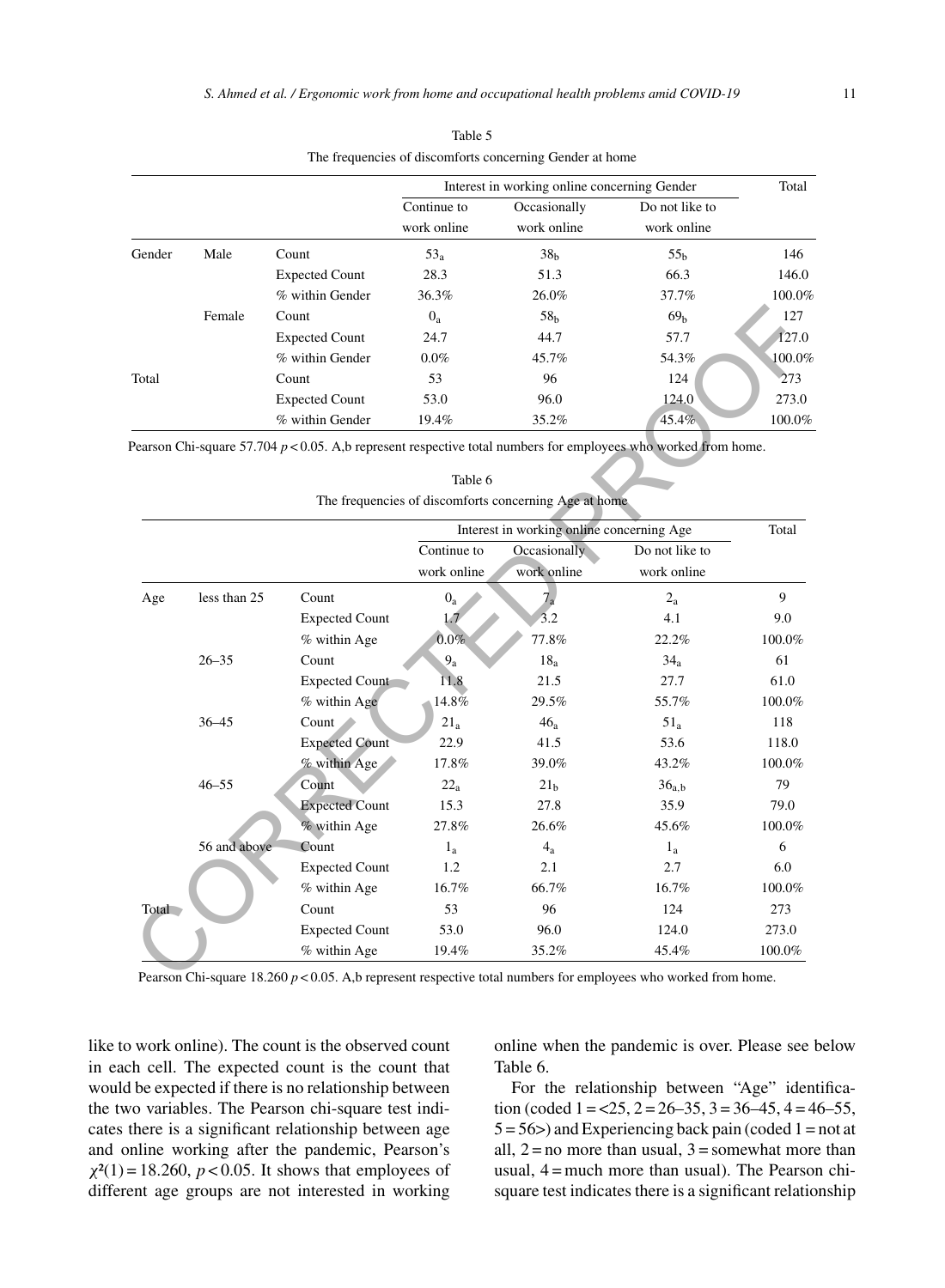|        |        |                       |             | Interest in working online concerning Gender |                 | Total  |
|--------|--------|-----------------------|-------------|----------------------------------------------|-----------------|--------|
|        |        |                       | Continue to | Occasionally                                 | Do not like to  |        |
|        |        |                       | work online | work online                                  | work online     |        |
| Gender | Male   | Count                 | $53_a$      | 38 <sub>h</sub>                              | 55 <sub>h</sub> | 146    |
|        |        | <b>Expected Count</b> | 28.3        | 51.3                                         | 66.3            | 146.0  |
|        |        | % within Gender       | 36.3%       | 26.0%                                        | 37.7%           | 100.0% |
|        | Female | Count                 | $0_a$       | 58 <sub>h</sub>                              | 69 <sub>b</sub> | 127    |
|        |        | <b>Expected Count</b> | 24.7        | 44.7                                         | 57.7            | 127.0  |
|        |        | % within Gender       | $0.0\%$     | 45.7%                                        | 54.3%           | 100.0% |
| Total  |        | Count                 | 53          | 96                                           | 124             | 273    |
|        |        | <b>Expected Count</b> | 53.0        | 96.0                                         | 124.0           | 273.0  |
|        |        | % within Gender       | 19.4%       | 35.2%                                        | 45.4%           | 100.0% |

| Table 5                                                  |  |
|----------------------------------------------------------|--|
| The frequencies of discomforts concerning Gender at home |  |

|       | Female       | Count                                                                                                             | $0_a$           | 58 <sub>h</sub>                                       | 69 <sub>h</sub>   | 127       |
|-------|--------------|-------------------------------------------------------------------------------------------------------------------|-----------------|-------------------------------------------------------|-------------------|-----------|
|       |              | <b>Expected Count</b>                                                                                             | 24.7            | 44.7                                                  | 57.7              | 127.0     |
|       |              | % within Gender                                                                                                   | $0.0\%$         | 45.7%                                                 | 54.3%             | 100.09    |
| Total |              | Count                                                                                                             | 53              | 96                                                    | 124               | 273       |
|       |              | <b>Expected Count</b>                                                                                             | 53.0            | 96.0                                                  | 124.0             | 273.0     |
|       |              | % within Gender                                                                                                   | 19.4%           | 35.2%                                                 | 45.4%             | 100.0%    |
|       |              | Pearson Chi-square 57.704 $p < 0.05$ . A,b represent respective total numbers for employees who worked from home. |                 |                                                       |                   |           |
|       |              |                                                                                                                   |                 |                                                       |                   |           |
|       |              |                                                                                                                   | Table 6         |                                                       |                   |           |
|       |              |                                                                                                                   |                 | The frequencies of discomforts concerning Age at home |                   |           |
|       |              |                                                                                                                   |                 | Interest in working online concerning Age             |                   | Total     |
|       |              |                                                                                                                   | Continue to     | Occasionally                                          | Do not like to    |           |
|       |              |                                                                                                                   | work online     | work online                                           | work online       |           |
| Age   | less than 25 | Count                                                                                                             | $0_a$           | 7 <sub>a</sub>                                        | $2_{a}$           | 9         |
|       |              | <b>Expected Count</b>                                                                                             | 1.7             | 3.2                                                   | 4.1               | 9.0       |
|       |              | % within Age                                                                                                      | $0.0\%$         | 77.8%                                                 | 22.2%             | 100.0%    |
|       | $26 - 35$    | Count                                                                                                             | 9 <sub>a</sub>  | 18 <sub>a</sub>                                       | 34 <sub>a</sub>   | 61        |
|       |              | Expected Count                                                                                                    | 11.8            | 21.5                                                  | 27.7              | 61.0      |
|       |              | % within Age                                                                                                      | 14.8%           | 29.5%                                                 | 55.7%             | $100.0\%$ |
|       | $36 - 45$    | Count                                                                                                             | 21 <sub>a</sub> | 46 <sub>a</sub>                                       | $51_a$            | 118       |
|       |              | <b>Expected Count</b>                                                                                             | 22.9            | 41.5                                                  | 53.6              | 118.0     |
|       |              | % within Age                                                                                                      | 17.8%           | 39.0%                                                 | 43.2%             | 100.0%    |
|       | $46 - 55$    | Count                                                                                                             | $22_a$          | 21 <sub>b</sub>                                       | 36 <sub>a,b</sub> | 79        |
|       |              | <b>Expected Count</b>                                                                                             | 15.3            | 27.8                                                  | 35.9              | 79.0      |
|       |              | % within Age                                                                                                      | 27.8%           | 26.6%                                                 | 45.6%             | 100.0%    |
|       | 56 and above | Count                                                                                                             | $1_{a}$         | $4_{a}$                                               | $1_{a}$           | 6         |
|       |              | <b>Expected Count</b>                                                                                             | 1.2             | 2.1                                                   | 2.7               | 6.0       |
|       |              | % within Age                                                                                                      | 16.7%           | 66.7%                                                 | 16.7%             | 100.0%    |
| Total |              | Count                                                                                                             | 53              | 96                                                    | 124               | 273       |
|       |              | <b>Expected Count</b>                                                                                             | 53.0            | 96.0                                                  | 124.0             | 273.0     |
|       |              | % within Age                                                                                                      | 19.4%           | 35.2%                                                 | 45.4%             | 100.0%    |

Table 6

Pearson Chi-square 18.260 *p* < 0.05. A,b represent respective total numbers for employees who worked from home.

like to work online). The count is the observed count in each cell. The expected count is the count that would be expected if there is no relationship between the two variables. The Pearson chi-square test indicates there is a significant relationship between age and online working after the pandemic, Pearson's  $\chi^2(1) = 18.260$ ,  $p < 0.05$ . It shows that employees of different age groups are not interested in working online when the pandemic is over. Please see below Table 6.

For the relationship between "Age" identification (coded  $1 = 25$ ,  $2 = 26 - 35$ ,  $3 = 36 - 45$ ,  $4 = 46 - 55$ ,  $5 = 56$  > and Experiencing back pain (coded 1 = not at all,  $2 = no$  more than usual,  $3 =$ somewhat more than usual, 4 = much more than usual). The Pearson chisquare test indicates there is a significant relationship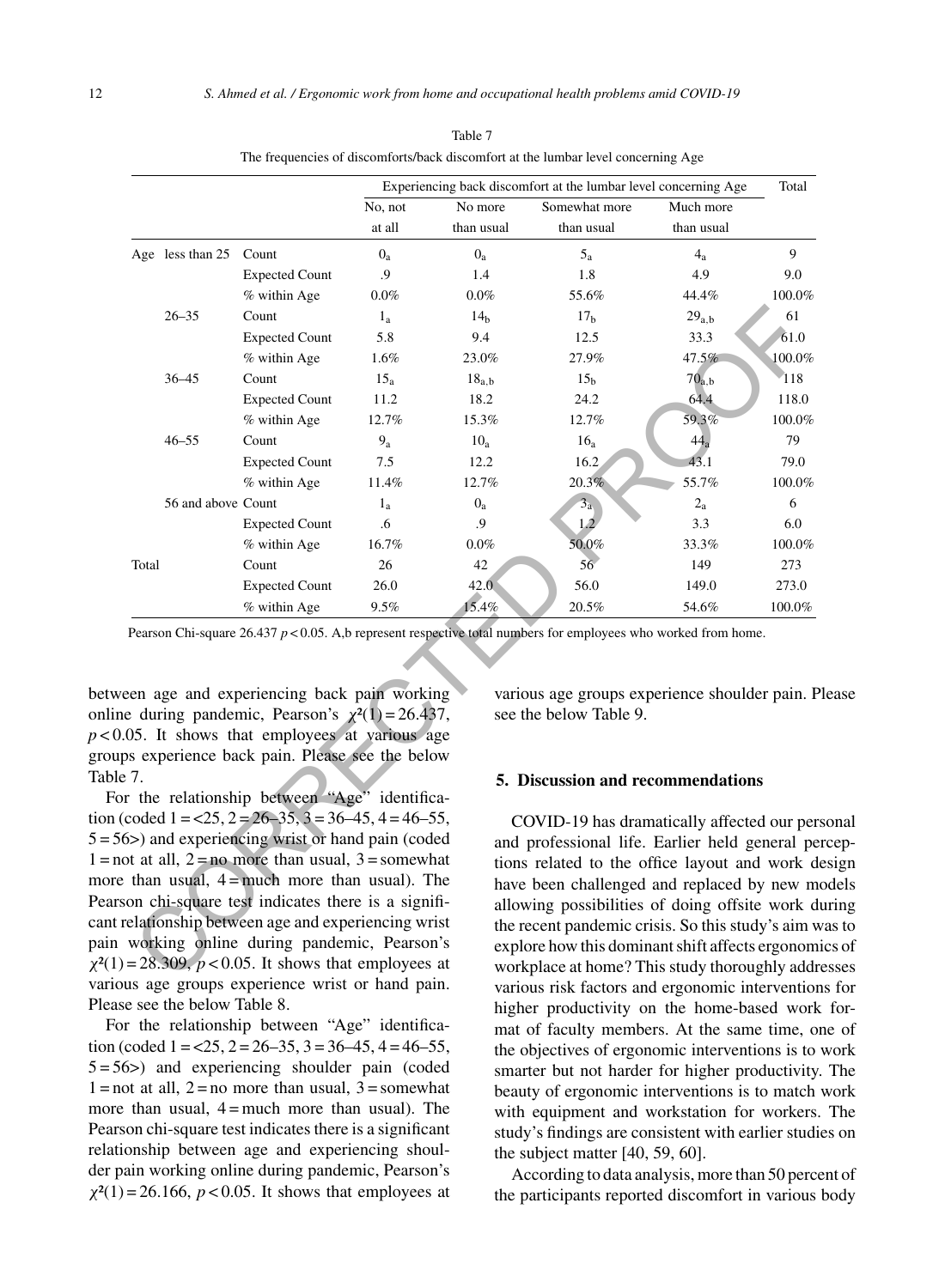|       |                    |                                                                                                                                                                                                                                                                                                                                                                           | Experiencing back discomfort at the lumbar level concerning Age |                 |                                                                                                                                                                                                                                                                                                                                                       | Total             |           |
|-------|--------------------|---------------------------------------------------------------------------------------------------------------------------------------------------------------------------------------------------------------------------------------------------------------------------------------------------------------------------------------------------------------------------|-----------------------------------------------------------------|-----------------|-------------------------------------------------------------------------------------------------------------------------------------------------------------------------------------------------------------------------------------------------------------------------------------------------------------------------------------------------------|-------------------|-----------|
|       |                    |                                                                                                                                                                                                                                                                                                                                                                           | No, not                                                         | No more         | Somewhat more                                                                                                                                                                                                                                                                                                                                         | Much more         |           |
|       |                    |                                                                                                                                                                                                                                                                                                                                                                           | at all                                                          | than usual      | than usual                                                                                                                                                                                                                                                                                                                                            | than usual        |           |
|       | Age less than 25   | Count                                                                                                                                                                                                                                                                                                                                                                     | $0_a$                                                           | $0_a$           | $5_a$                                                                                                                                                                                                                                                                                                                                                 | $4_a$             | 9         |
|       |                    | <b>Expected Count</b>                                                                                                                                                                                                                                                                                                                                                     | .9                                                              | 1.4             | 1.8                                                                                                                                                                                                                                                                                                                                                   | 4.9               | 9.0       |
|       |                    | % within Age                                                                                                                                                                                                                                                                                                                                                              | $0.0\%$                                                         | $0.0\%$         | 55.6%                                                                                                                                                                                                                                                                                                                                                 | 44.4%             | 100.0%    |
|       | $26 - 35$          | Count                                                                                                                                                                                                                                                                                                                                                                     | $1_{a}$                                                         | 14 <sub>b</sub> | 17 <sub>b</sub>                                                                                                                                                                                                                                                                                                                                       | 29 <sub>a,b</sub> | 61        |
|       |                    | <b>Expected Count</b>                                                                                                                                                                                                                                                                                                                                                     | 5.8                                                             | 9.4             | 12.5                                                                                                                                                                                                                                                                                                                                                  | 33.3              | 61.0      |
|       |                    | % within Age                                                                                                                                                                                                                                                                                                                                                              | 1.6%                                                            | 23.0%           | 27.9%                                                                                                                                                                                                                                                                                                                                                 | 47.5%             | $100.0\%$ |
|       | $36 - 45$          | Count                                                                                                                                                                                                                                                                                                                                                                     | 15 <sub>a</sub>                                                 | $18_{a,b}$      | 15 <sub>h</sub>                                                                                                                                                                                                                                                                                                                                       | 70 <sub>a,b</sub> | 118       |
|       |                    | <b>Expected Count</b>                                                                                                                                                                                                                                                                                                                                                     | 11.2                                                            | 18.2            | 24.2                                                                                                                                                                                                                                                                                                                                                  | 64.4              | 118.0     |
|       |                    | % within Age                                                                                                                                                                                                                                                                                                                                                              | 12.7%                                                           | 15.3%           | 12.7%                                                                                                                                                                                                                                                                                                                                                 | 59.3%             | 100.0%    |
|       | $46 - 55$          | Count                                                                                                                                                                                                                                                                                                                                                                     | $9a$                                                            | 10 <sub>a</sub> | 16 <sub>a</sub>                                                                                                                                                                                                                                                                                                                                       | 44 <sub>a</sub>   | 79        |
|       |                    | <b>Expected Count</b>                                                                                                                                                                                                                                                                                                                                                     | 7.5                                                             | 12.2            | 16.2                                                                                                                                                                                                                                                                                                                                                  | 43.1              | 79.0      |
|       |                    | % within Age                                                                                                                                                                                                                                                                                                                                                              | 11.4%                                                           | 12.7%           | 20.3%                                                                                                                                                                                                                                                                                                                                                 | 55.7%             | 100.0%    |
|       | 56 and above Count |                                                                                                                                                                                                                                                                                                                                                                           | $1_{a}$                                                         | $0_a$           | 3 <sub>a</sub>                                                                                                                                                                                                                                                                                                                                        | $2_a$             | 6         |
|       |                    | <b>Expected Count</b>                                                                                                                                                                                                                                                                                                                                                     | .6                                                              | .9              | 1.2                                                                                                                                                                                                                                                                                                                                                   | 3.3               | 6.0       |
|       |                    | % within Age                                                                                                                                                                                                                                                                                                                                                              | 16.7%                                                           | $0.0\%$         | 50.0%                                                                                                                                                                                                                                                                                                                                                 | 33.3%             | 100.0%    |
| Total |                    | Count                                                                                                                                                                                                                                                                                                                                                                     | 26                                                              | 42              | 56 <sup>°</sup>                                                                                                                                                                                                                                                                                                                                       | 149               | 273       |
|       |                    | <b>Expected Count</b>                                                                                                                                                                                                                                                                                                                                                     | 26.0                                                            | 42.0            | 56.0                                                                                                                                                                                                                                                                                                                                                  | 149.0             | 273.0     |
|       |                    | % within Age                                                                                                                                                                                                                                                                                                                                                              | 9.5%                                                            | 15.4%           | 20.5%                                                                                                                                                                                                                                                                                                                                                 | 54.6%             | 100.0%    |
|       |                    | een age and experiencing back pain working<br>e during pandemic, Pearson's $\chi^2(1) = 26.437$ ,<br>05. It shows that employees at various age<br>os experience back pain. Please see the below                                                                                                                                                                          |                                                                 |                 | various age groups experience shoulder pain. I<br>see the below Table 9.                                                                                                                                                                                                                                                                              |                   |           |
| .7.   |                    |                                                                                                                                                                                                                                                                                                                                                                           |                                                                 |                 | 5. Discussion and recommendations                                                                                                                                                                                                                                                                                                                     |                   |           |
|       |                    | r the relationship between "Age" identifica-                                                                                                                                                                                                                                                                                                                              |                                                                 |                 |                                                                                                                                                                                                                                                                                                                                                       |                   |           |
|       |                    | coded $1 = 25$ , $2 = 26-35$ , $3 = 36-45$ , $4 = 46-55$ ,<br>(sole) and experiencing wrist or hand pain (coded<br>ot at all, $2 = no$ more than usual, $3 =$ somewhat<br>than usual, $4 =$ much more than usual). The<br>on chi-square test indicates there is a signifi-<br>elationship between age and experiencing wrist<br>working online during pandemic, Pearson's |                                                                 |                 | COVID-19 has dramatically affected our per<br>and professional life. Earlier held general pe<br>tions related to the office layout and work d<br>have been challenged and replaced by new m<br>allowing possibilities of doing offsite work d<br>the recent pandemic crisis. So this study's aim v<br>explore how this dominant shift affects ergonom |                   |           |
|       |                    | = 28.309, $p < 0.05$ . It shows that employees at                                                                                                                                                                                                                                                                                                                         |                                                                 |                 | workplace at home? This study thoroughly addi                                                                                                                                                                                                                                                                                                         |                   |           |

Table 7 The frequencies of discomforts/back discomfort at the lumbar level concerning Age

between age and experiencing back pain working online during pandemic, Pearson's  $\chi^2(1) = 26.437$ ,  $p$  < 0.05. It shows that employees at various age groups experience back pain. Please see the below Table 7.

For the relationship between "Age" identification (coded  $1 = 25$ ,  $2 = 26 - 35$ ,  $3 = 36 - 45$ ,  $4 = 46 - 55$ , 5 = 56>) and experiencing wrist or hand pain (coded  $1 = not at all, 2 = no more than usual, 3 = somewhat$ more than usual,  $4 =$  much more than usual). The Pearson chi-square test indicates there is a significant relationship between age and experiencing wrist pain working online during pandemic, Pearson's  $\chi^2(1) = 28.309$ ,  $p < 0.05$ . It shows that employees at various age groups experience wrist or hand pain. Please see the below Table 8.

For the relationship between "Age" identification (coded  $1 = 25$ ,  $2 = 26 - 35$ ,  $3 = 36 - 45$ ,  $4 = 46 - 55$ ,  $5 = 56$ ) and experiencing shoulder pain (coded  $1 =$ not at all,  $2 =$ no more than usual,  $3 =$ somewhat more than usual,  $4 =$  much more than usual). The Pearson chi-square test indicates there is a significant relationship between age and experiencing shoulder pain working online during pandemic, Pearson's  $\chi^2(1) = 26.166$ ,  $p < 0.05$ . It shows that employees at

various age groups experience shoulder pain. Please see the below Table 9.

#### **5. Discussion and recommendations**

COVID-19 has dramatically affected our personal and professional life. Earlier held general perceptions related to the office layout and work design have been challenged and replaced by new models allowing possibilities of doing offsite work during the recent pandemic crisis. So this study's aim was to explore how this dominant shift affects ergonomics of workplace at home? This study thoroughly addresses various risk factors and ergonomic interventions for higher productivity on the home-based work format of faculty members. At the same time, one of the objectives of ergonomic interventions is to work smarter but not harder for higher productivity. The beauty of ergonomic interventions is to match work with equipment and workstation for workers. The study's findings are consistent with earlier studies on the subject matter [40, 59, 60].

According to data analysis, more than 50 percent of the participants reported discomfort in various body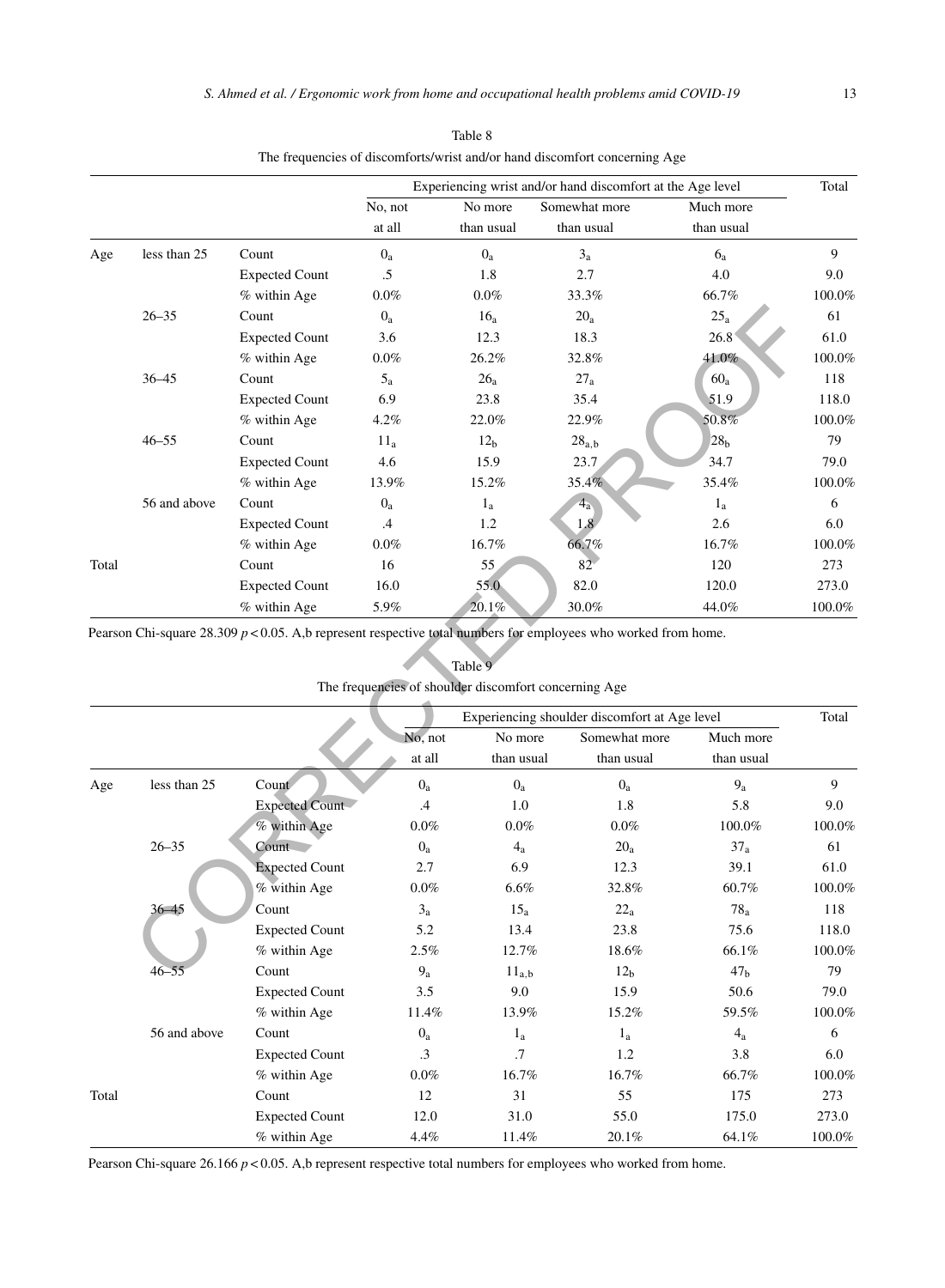|       |              |                       | Experiencing wrist and/or hand discomfort at the Age level |                 |                                                                                                                   |                 | Total  |
|-------|--------------|-----------------------|------------------------------------------------------------|-----------------|-------------------------------------------------------------------------------------------------------------------|-----------------|--------|
|       |              |                       | No, not                                                    | No more         | Somewhat more                                                                                                     | Much more       |        |
|       |              |                       | at all                                                     | than usual      | than usual                                                                                                        | than usual      |        |
| Age   | less than 25 | Count                 | $0_a$                                                      | $0_a$           | 3 <sub>a</sub>                                                                                                    | $6_{a}$         | 9      |
|       |              | <b>Expected Count</b> | $\overline{5}$                                             | 1.8             | 2.7                                                                                                               | 4.0             | 9.0    |
|       |              | % within Age          | $0.0\%$                                                    | 0.0%            | 33.3%                                                                                                             | 66.7%           | 100.0% |
|       | $26 - 35$    | Count                 | $0_a$                                                      | 16 <sub>a</sub> | 20 <sub>a</sub>                                                                                                   | 25 <sub>a</sub> | 61     |
|       |              | <b>Expected Count</b> | 3.6                                                        | 12.3            | 18.3                                                                                                              | 26.8            | 61.0   |
|       |              | $%$ within Age        | $0.0\%$                                                    | 26.2%           | 32.8%                                                                                                             | 41.0%           | 100.0% |
|       | $36 - 45$    | Count                 | $5_a$                                                      | 26 <sub>a</sub> | $27_a$                                                                                                            | $60_a$          | 118    |
|       |              | <b>Expected Count</b> | 6.9                                                        | 23.8            | 35.4                                                                                                              | 51.9            | 118.0  |
|       |              | % within Age          | 4.2%                                                       | 22.0%           | 22.9%                                                                                                             | 50.8%           | 100.0% |
|       | $46 - 55$    | Count                 | $11_a$                                                     | 12 <sub>b</sub> | $28_{a,b}$                                                                                                        | 28 <sub>b</sub> | 79     |
|       |              | <b>Expected Count</b> | 4.6                                                        | 15.9            | 23.7                                                                                                              | 34.7            | 79.0   |
|       |              | % within Age          | 13.9%                                                      | 15.2%           | 35.4%                                                                                                             | 35.4%           | 100.0% |
|       | 56 and above | Count                 | $0_a$                                                      | $1_{a}$         | $4_a$                                                                                                             | $1_{a}$         | 6      |
|       |              | <b>Expected Count</b> | $\mathcal{A}$                                              | 1.2             | 1.8                                                                                                               | 2.6             | 6.0    |
|       |              | % within Age          | $0.0\%$                                                    | 16.7%           | 66.7%                                                                                                             | 16.7%           | 100.0% |
| Total |              | Count                 | 16                                                         | 55              | 82 <sup>°</sup>                                                                                                   | 120             | 273    |
|       |              | <b>Expected Count</b> | 16.0                                                       | 55.0            | 82.0                                                                                                              | 120.0           | 273.0  |
|       |              | % within Age          | 5.9%                                                       | 20.1%           | 30.0%                                                                                                             | 44.0%           | 100.0% |
|       |              |                       | The frequencies of shoulder discomfort concerning Age      | Table 9         | Pearson Chi-square 28.309 $p < 0.05$ . A,b represent respective total numbers for employees who worked from home. |                 |        |
|       |              |                       |                                                            |                 | Experiencing shoulder discomfort at Age level                                                                     |                 | Total  |
|       |              |                       | No. not                                                    | No more         | Somewhat more                                                                                                     | Much more       |        |
|       |              |                       | at all                                                     | than usual      | than usual                                                                                                        | than usual      |        |
| Age   | less than 25 | Count                 | $0_a$                                                      | 0 <sub>a</sub>  | $0_a$                                                                                                             | $9a$            | 9      |
|       |              | <b>Expected Count</b> | $\mathcal{A}$                                              | 1.0             | 1.8                                                                                                               | 5.8             | 9.0    |
|       |              | % within Age          | 0.0%                                                       | $0.0\%$         | 0.0%                                                                                                              | 100.0%          | 100.0% |
|       | $26 - 35$    | Count                 | $0_a$                                                      | $4_a$           | $20_a$                                                                                                            | 37 <sub>a</sub> | 61     |
|       |              | <b>Expected Count</b> | 2.7                                                        | 6.9             | 12.3                                                                                                              | 39.1            | 61.0   |
|       |              | % within Age          | $0.0\%$                                                    | 6.6%            | 32.8%                                                                                                             | 60.7%           | 100.0% |
|       | $36 - 45$    | Count                 | 3 <sub>a</sub>                                             | $15_a$          | $22_a$                                                                                                            | 78 <sub>a</sub> | 118    |
|       |              | <b>Expected Count</b> | 5.2                                                        | 13.4            | 23.8                                                                                                              | 75.6            | 118.0  |
|       |              | % within Age          | 2.5%                                                       | 12.7%           | 18.6%                                                                                                             | 66.1%           | 100.0% |
|       | $46 - 55$    | Count                 | 9a                                                         | $11_{a,b}$      | 12 <sub>b</sub>                                                                                                   | 47 <sub>b</sub> | 79     |

Table 8 The frequencies of discomforts/wrist and/or hand discomfort concerning Age

## Table 9 The frequencies of shoulder discomfort concerning Age

|       |              |                       |                |                 | Experiencing shoulder discomfort at Age level |                 | Total  |
|-------|--------------|-----------------------|----------------|-----------------|-----------------------------------------------|-----------------|--------|
|       |              |                       | No, not        | No more         | Somewhat more                                 | Much more       |        |
|       |              |                       | at all         | than usual      | than usual                                    | than usual      |        |
| Age   | less than 25 | Count                 | $0_a$          | $0_a$           | $0_a$                                         | $9_a$           | 9      |
|       |              | Expected Count        | .4             | 1.0             | 1.8                                           | 5.8             | 9.0    |
|       |              | % within Age          | 0.0%           | 0.0%            | 0.0%                                          | 100.0%          | 100.0% |
|       | $26 - 35$    | Count                 | 0 <sub>a</sub> | $4_a$           | $20_a$                                        | $37_a$          | 61     |
|       |              | <b>Expected Count</b> | 2.7            | 6.9             | 12.3                                          | 39.1            | 61.0   |
|       |              | % within Age          | $0.0\%$        | 6.6%            | 32.8%                                         | 60.7%           | 100.0% |
|       | $36 - 45$    | Count                 | 3 <sub>a</sub> | 15 <sub>a</sub> | $22_a$                                        | $78_a$          | 118    |
|       |              | <b>Expected Count</b> | 5.2            | 13.4            | 23.8                                          | 75.6            | 118.0  |
|       |              | % within Age          | 2.5%           | 12.7%           | 18.6%                                         | 66.1%           | 100.0% |
|       | $46 - 55$    | Count                 | 9a             | $11_{a,b}$      | 12 <sub>b</sub>                               | 47 <sub>b</sub> | 79     |
|       |              | <b>Expected Count</b> | 3.5            | 9.0             | 15.9                                          | 50.6            | 79.0   |
|       |              | % within Age          | 11.4%          | 13.9%           | 15.2%                                         | 59.5%           | 100.0% |
|       | 56 and above | Count                 | $0_a$          | $1_{a}$         | $1_{a}$                                       | $4_a$           | 6      |
|       |              | <b>Expected Count</b> | $\cdot$ 3      | .7              | 1.2                                           | 3.8             | 6.0    |
|       |              | % within Age          | $0.0\%$        | 16.7%           | 16.7%                                         | 66.7%           | 100.0% |
| Total |              | Count                 | 12             | 31              | 55                                            | 175             | 273    |
|       |              | <b>Expected Count</b> | 12.0           | 31.0            | 55.0                                          | 175.0           | 273.0  |
|       |              | % within Age          | 4.4%           | 11.4%           | 20.1%                                         | 64.1%           | 100.0% |

Pearson Chi-square 26.166 *p* < 0.05. A,b represent respective total numbers for employees who worked from home.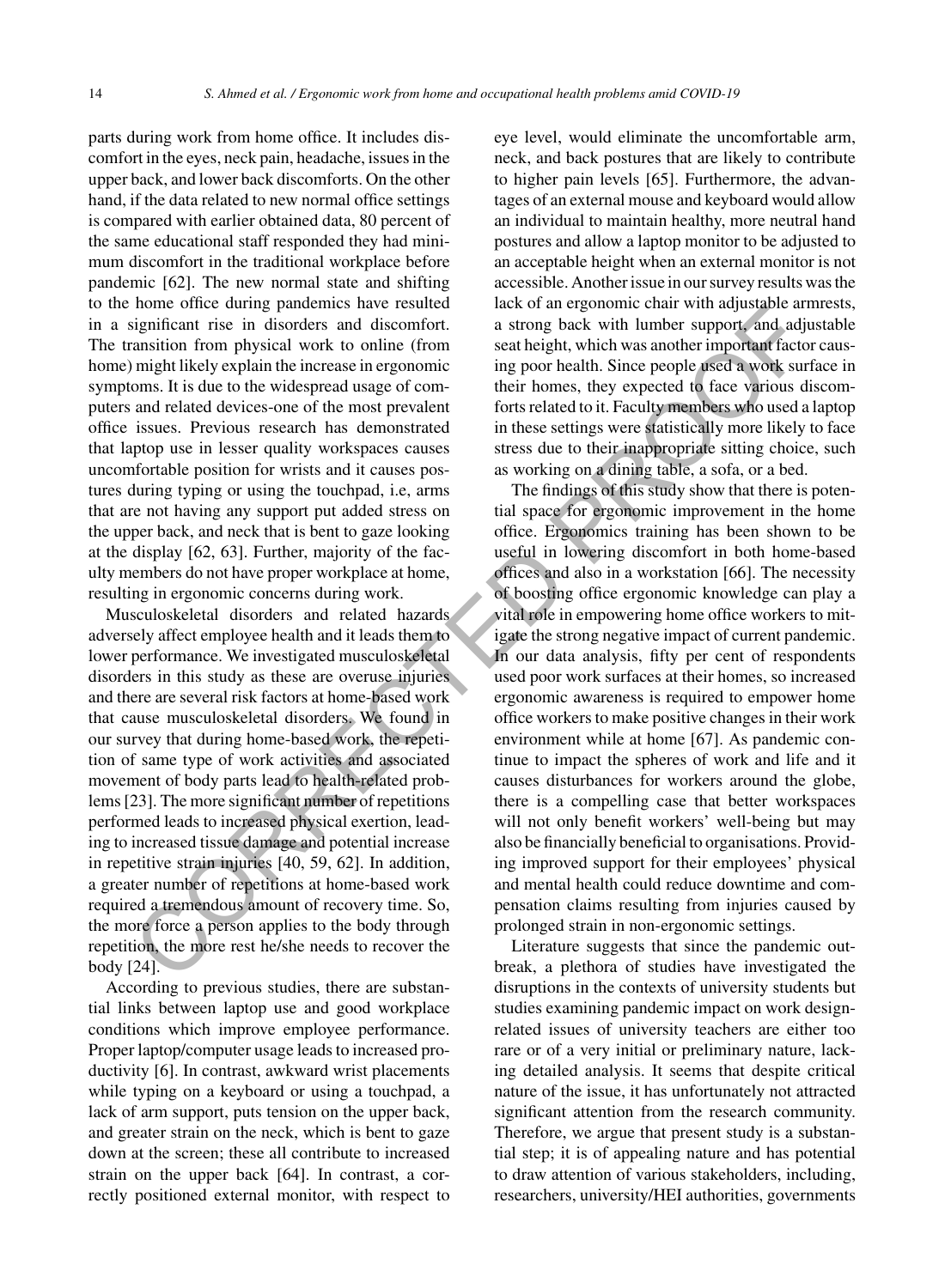parts during work from home office. It includes discomfort in the eyes, neck pain, headache, issues in the upper back, and lower back discomforts. On the other hand, if the data related to new normal office settings is compared with earlier obtained data, 80 percent of the same educational staff responded they had minimum discomfort in the traditional workplace before pandemic [62]. The new normal state and shifting to the home office during pandemics have resulted in a significant rise in disorders and discomfort. The transition from physical work to online (from home) might likely explain the increase in ergonomic symptoms. It is due to the widespread usage of computers and related devices-one of the most prevalent office issues. Previous research has demonstrated that laptop use in lesser quality workspaces causes uncomfortable position for wrists and it causes postures during typing or using the touchpad, i.e, arms that are not having any support put added stress on the upper back, and neck that is bent to gaze looking at the display [62, 63]. Further, majority of the faculty members do not have proper workplace at home, resulting in ergonomic concerns during work.

Musculoskeletal disorders and related hazards adversely affect employee health and it leads them to lower performance. We investigated musculoskeletal disorders in this study as these are overuse injuries and there are several risk factors at home-based work that cause musculoskeletal disorders. We found in our survey that during home-based work, the repetition of same type of work activities and associated movement of body parts lead to health-related problems [23]. The more significant number of repetitions performed leads to increased physical exertion, leading to increased tissue damage and potential increase in repetitive strain injuries [40, 59, 62]. In addition, a greater number of repetitions at home-based work required a tremendous amount of recovery time. So, the more force a person applies to the body through repetition, the more rest he/she needs to recover the body [24].

According to previous studies, there are substantial links between laptop use and good workplace conditions which improve employee performance. Proper laptop/computer usage leads to increased productivity [6]. In contrast, awkward wrist placements while typing on a keyboard or using a touchpad, a lack of arm support, puts tension on the upper back, and greater strain on the neck, which is bent to gaze down at the screen; these all contribute to increased strain on the upper back [64]. In contrast, a correctly positioned external monitor, with respect to

eye level, would eliminate the uncomfortable arm, neck, and back postures that are likely to contribute to higher pain levels [65]. Furthermore, the advantages of an external mouse and keyboard would allow an individual to maintain healthy, more neutral hand postures and allow a laptop monitor to be adjusted to an acceptable height when an external monitor is not accessible. Another issue in our survey results was the lack of an ergonomic chair with adjustable armrests, a strong back with lumber support, and adjustable seat height, which was another important factor causing poor health. Since people used a work surface in their homes, they expected to face various discomforts related to it. Faculty members who used a laptop in these settings were statistically more likely to face stress due to their inappropriate sitting choice, such as working on a dining table, a sofa, or a bed.

The findings of this study show that there is potential space for ergonomic improvement in the home office. Ergonomics training has been shown to be useful in lowering discomfort in both home-based offices and also in a workstation [66]. The necessity of boosting office ergonomic knowledge can play a vital role in empowering home office workers to mitigate the strong negative impact of current pandemic. In our data analysis, fifty per cent of respondents used poor work surfaces at their homes, so increased ergonomic awareness is required to empower home office workers to make positive changes in their work environment while at home [67]. As pandemic continue to impact the spheres of work and life and it causes disturbances for workers around the globe, there is a compelling case that better workspaces will not only benefit workers' well-being but may also be financially beneficial to organisations. Providing improved support for their employees' physical and mental health could reduce downtime and compensation claims resulting from injuries caused by prolonged strain in non-ergonomic settings. CORRECTED PROOF

Literature suggests that since the pandemic outbreak, a plethora of studies have investigated the disruptions in the contexts of university students but studies examining pandemic impact on work designrelated issues of university teachers are either too rare or of a very initial or preliminary nature, lacking detailed analysis. It seems that despite critical nature of the issue, it has unfortunately not attracted significant attention from the research community. Therefore, we argue that present study is a substantial step; it is of appealing nature and has potential to draw attention of various stakeholders, including, researchers, university/HEI authorities, governments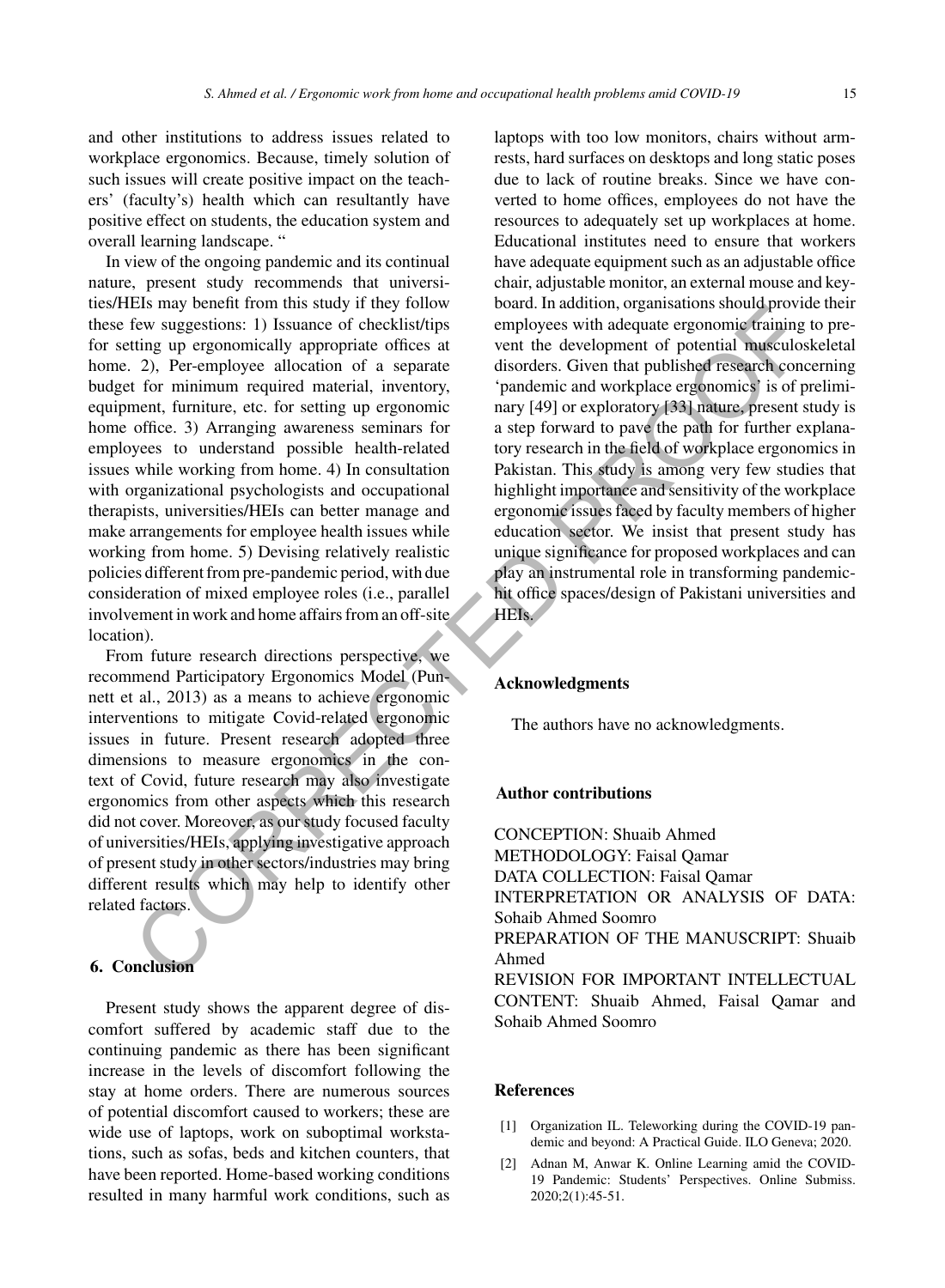and other institutions to address issues related to workplace ergonomics. Because, timely solution of such issues will create positive impact on the teachers' (faculty's) health which can resultantly have positive effect on students, the education system and overall learning landscape. "

In view of the ongoing pandemic and its continual nature, present study recommends that universities/HEIs may benefit from this study if they follow these few suggestions: 1) Issuance of checklist/tips for setting up ergonomically appropriate offices at home. 2), Per-employee allocation of a separate budget for minimum required material, inventory, equipment, furniture, etc. for setting up ergonomic home office. 3) Arranging awareness seminars for employees to understand possible health-related issues while working from home. 4) In consultation with organizational psychologists and occupational therapists, universities/HEIs can better manage and make arrangements for employee health issues while working from home. 5) Devising relatively realistic policies different from pre-pandemic period, with due consideration of mixed employee roles (i.e., parallel involvement in work and home affairs from an off-site location). Easing operation and solution and solution and the content of the content of the content of the content of the content of the content of the content of the content of the content of the content of the content of the conten

From future research directions perspective, we recommend Participatory Ergonomics Model (Punnett et al., 2013) as a means to achieve ergonomic interventions to mitigate Covid-related ergonomic issues in future. Present research adopted three dimensions to measure ergonomics in the context of Covid, future research may also investigate ergonomics from other aspects which this research did not cover. Moreover, as our study focused faculty of universities/HEIs, applying investigative approach of present study in other sectors/industries may bring different results which may help to identify other related factors.

## **6. Conclusion**

Present study shows the apparent degree of discomfort suffered by academic staff due to the continuing pandemic as there has been significant increase in the levels of discomfort following the stay at home orders. There are numerous sources of potential discomfort caused to workers; these are wide use of laptops, work on suboptimal workstations, such as sofas, beds and kitchen counters, that have been reported. Home-based working conditions resulted in many harmful work conditions, such as

laptops with too low monitors, chairs without armrests, hard surfaces on desktops and long static poses due to lack of routine breaks. Since we have converted to home offices, employees do not have the resources to adequately set up workplaces at home. Educational institutes need to ensure that workers have adequate equipment such as an adjustable office chair, adjustable monitor, an external mouse and keyboard. In addition, organisations should provide their employees with adequate ergonomic training to prevent the development of potential musculoskeletal disorders. Given that published research concerning 'pandemic and workplace ergonomics' is of preliminary [49] or exploratory [33] nature, present study is a step forward to pave the path for further explanatory research in the field of workplace ergonomics in Pakistan. This study is among very few studies that highlight importance and sensitivity of the workplace ergonomic issues faced by faculty members of higher education sector. We insist that present study has unique significance for proposed workplaces and can play an instrumental role in transforming pandemichit office spaces/design of Pakistani universities and HEIs.

#### **Acknowledgments**

The authors have no acknowledgments.

#### **Author contributions**

CONCEPTION: Shuaib Ahmed METHODOLOGY: Faisal Qamar DATA COLLECTION: Faisal Qamar INTERPRETATION OR ANALYSIS OF DATA: Sohaib Ahmed Soomro PREPARATION OF THE MANUSCRIPT: Shuaib Ahmed REVISION FOR IMPORTANT INTELLECTUAL CONTENT: Shuaib Ahmed, Faisal Qamar and Sohaib Ahmed Soomro

#### **References**

- [1] Organization IL. Teleworking during the COVID-19 pandemic and beyond: A Practical Guide. ILO Geneva; 2020.
- [2] Adnan M, Anwar K. Online Learning amid the COVID-19 Pandemic: Students' Perspectives. Online Submiss. 2020;2(1):45-51.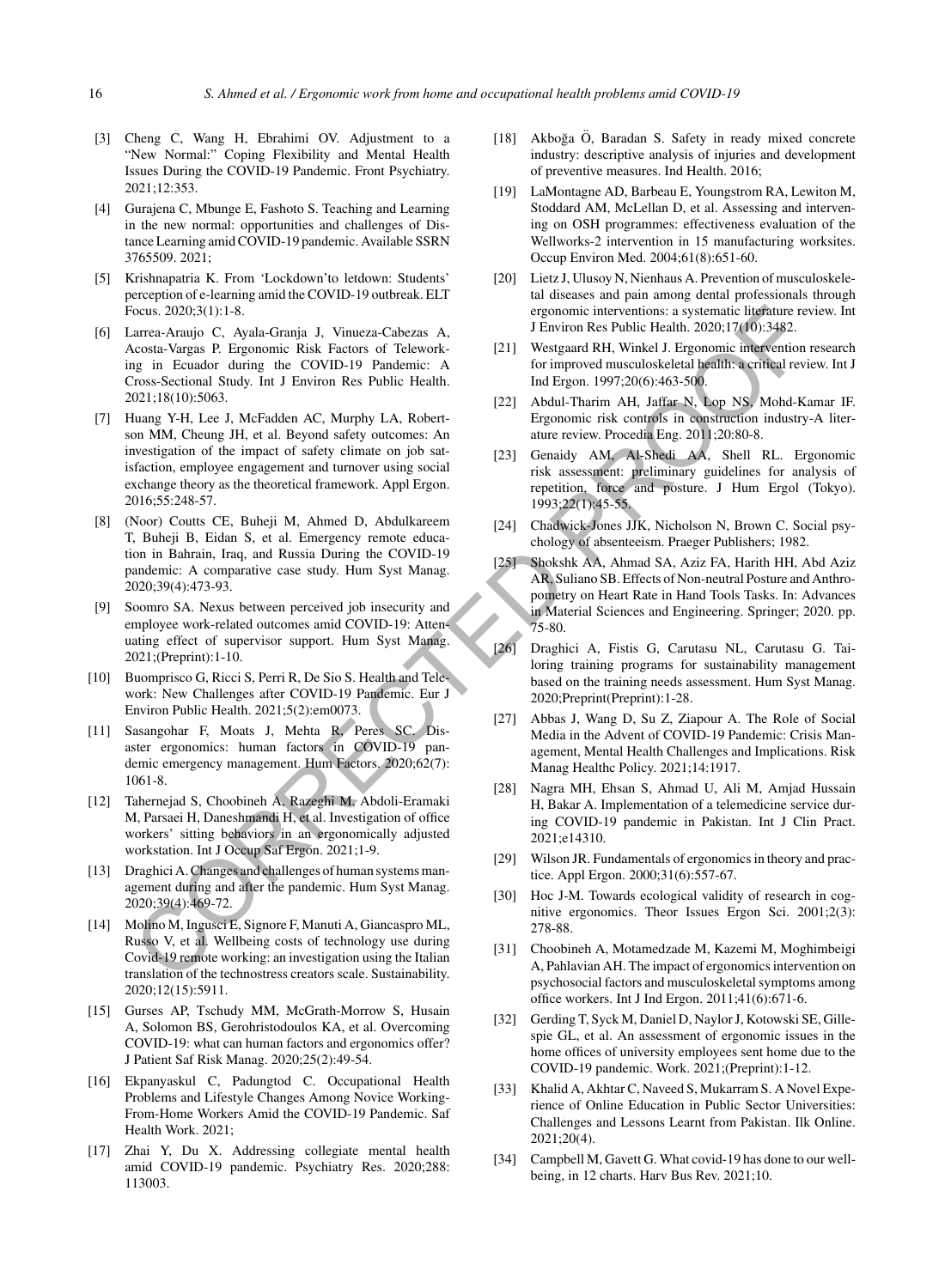- [3] Cheng C, Wang H, Ebrahimi OV. Adjustment to a "New Normal:" Coping Flexibility and Mental Health Issues During the COVID-19 Pandemic. Front Psychiatry. 2021;12:353.
- [4] Gurajena C, Mbunge E, Fashoto S. Teaching and Learning in the new normal: opportunities and challenges of Distance Learning amid COVID-19 pandemic. Available SSRN 3765509. 2021;
- [5] Krishnapatria K. From 'Lockdown'to letdown: Students' perception of e-learning amid the COVID-19 outbreak. ELT Focus. 2020;3(1):1-8.
- [6] Larrea-Araujo C, Ayala-Granja J, Vinueza-Cabezas A, Acosta-Vargas P. Ergonomic Risk Factors of Teleworking in Ecuador during the COVID-19 Pandemic: A Cross-Sectional Study. Int J Environ Res Public Health. 2021;18(10):5063.
- [7] Huang Y-H, Lee J, McFadden AC, Murphy LA, Robertson MM, Cheung JH, et al. Beyond safety outcomes: An investigation of the impact of safety climate on job satisfaction, employee engagement and turnover using social exchange theory as the theoretical framework. Appl Ergon. 2016;55:248-57. beca. 2002.<br>
Surge Artistic Reading B. Vinteza-Cabezas A. FEnviron Res Public Reading Stages and Theorem (1987-1983).<br>
Surge in Example CoVID-19 Franchic: A. FENGING III Westparted its particular particular particular par
- [8] (Noor) Coutts CE, Buheji M, Ahmed D, Abdulkareem T, Buheji B, Eidan S, et al. Emergency remote education in Bahrain, Iraq, and Russia During the COVID-19 pandemic: A comparative case study. Hum Syst Manag. 2020;39(4):473-93.
- [9] Soomro SA. Nexus between perceived job insecurity and employee work-related outcomes amid COVID-19: Attenuating effect of supervisor support. Hum Syst Manag. 2021;(Preprint):1-10.
- [10] Buomprisco G, Ricci S, Perri R, De Sio S. Health and Telework: New Challenges after COVID-19 Pandemic. Eur J Environ Public Health. 2021;5(2):em0073.
- [11] Sasangohar F, Moats J, Mehta R, Peres SC. Disaster ergonomics: human factors in COVID-19 pandemic emergency management. Hum Factors. 2020;62(7): 1061-8.
- [12] Tahernejad S, Choobineh A, Razeghi M, Abdoli-Eramaki M, Parsaei H, Daneshmandi H, et al. Investigation of office workers' sitting behaviors in an ergonomically adjusted workstation. Int J Occup Saf Ergon. 2021;1-9.
- [13] Draghici A. Changes and challenges of human systems management during and after the pandemic. Hum Syst Manag. 2020;39(4):469-72.
- [14] Molino M, Ingusci E, Signore F, Manuti A, Giancaspro ML, Russo V, et al. Wellbeing costs of technology use during Covid-19 remote working: an investigation using the Italian translation of the technostress creators scale. Sustainability. 2020;12(15):5911.
- [15] Gurses AP, Tschudy MM, McGrath-Morrow S, Husain A, Solomon BS, Gerohristodoulos KA, et al. Overcoming COVID-19: what can human factors and ergonomics offer? J Patient Saf Risk Manag. 2020;25(2):49-54.
- [16] Ekpanyaskul C, Padungtod C. Occupational Health Problems and Lifestyle Changes Among Novice Working-From-Home Workers Amid the COVID-19 Pandemic. Saf Health Work. 2021;
- [17] Zhai Y, Du X. Addressing collegiate mental health amid COVID-19 pandemic. Psychiatry Res. 2020;288: 113003.
- [18] Akboğa  $\ddot{O}$ , Baradan S. Safety in ready mixed concrete industry: descriptive analysis of injuries and development of preventive measures. Ind Health. 2016;
- [19] LaMontagne AD, Barbeau E, Youngstrom RA, Lewiton M, Stoddard AM, McLellan D, et al. Assessing and intervening on OSH programmes: effectiveness evaluation of the Wellworks-2 intervention in 15 manufacturing worksites. Occup Environ Med. 2004;61(8):651-60.
- [20] Lietz J, Ulusoy N, Nienhaus A. Prevention of musculoskeletal diseases and pain among dental professionals through ergonomic interventions: a systematic literature review. Int J Environ Res Public Health. 2020;17(10):3482.
- [21] Westgaard RH, Winkel J. Ergonomic intervention research for improved musculoskeletal health: a critical review. Int J Ind Ergon. 1997;20(6):463-500.
- [22] Abdul-Tharim AH, Jaffar N, Lop NS, Mohd-Kamar IF. Ergonomic risk controls in construction industry-A literature review. Procedia Eng. 2011;20:80-8.
- [23] Genaidy AM, Al-Shedi AA, Shell RL. Ergonomic risk assessment: preliminary guidelines for analysis of repetition, force and posture. J Hum Ergol (Tokyo). 1993;22(1):45-55.
- [24] Chadwick-Jones JJK, Nicholson N, Brown C. Social psychology of absenteeism. Praeger Publishers; 1982.
- [25] Shokshk AA, Ahmad SA, Aziz FA, Harith HH, Abd Aziz AR, Suliano SB. Effects of Non-neutral Posture and Anthropometry on Heart Rate in Hand Tools Tasks. In: Advances in Material Sciences and Engineering. Springer; 2020. pp. 75-80.
- [26] Draghici A, Fistis G, Carutasu NL, Carutasu G. Tailoring training programs for sustainability management based on the training needs assessment. Hum Syst Manag. 2020;Preprint(Preprint):1-28.
- [27] Abbas J, Wang D, Su Z, Ziapour A. The Role of Social Media in the Advent of COVID-19 Pandemic: Crisis Management, Mental Health Challenges and Implications. Risk Manag Healthc Policy. 2021;14:1917.
- [28] Nagra MH, Ehsan S, Ahmad U, Ali M, Amjad Hussain H, Bakar A. Implementation of a telemedicine service during COVID-19 pandemic in Pakistan. Int J Clin Pract. 2021;e14310.
- [29] Wilson JR. Fundamentals of ergonomics in theory and practice. Appl Ergon. 2000;31(6):557-67.
- [30] Hoc J-M. Towards ecological validity of research in cognitive ergonomics. Theor Issues Ergon Sci. 2001;2(3): 278-88.
- [31] Choobineh A, Motamedzade M, Kazemi M, Moghimbeigi A, Pahlavian AH. The impact of ergonomics intervention on psychosocial factors and musculoskeletal symptoms among office workers. Int J Ind Ergon. 2011;41(6):671-6.
- [32] Gerding T, Syck M, Daniel D, Naylor J, Kotowski SE, Gillespie GL, et al. An assessment of ergonomic issues in the home offices of university employees sent home due to the COVID-19 pandemic. Work. 2021;(Preprint):1-12.
- [33] Khalid A, Akhtar C, Naveed S, Mukarram S. A Novel Experience of Online Education in Public Sector Universities: Challenges and Lessons Learnt from Pakistan. Ilk Online. 2021;20(4).
- [34] Campbell M, Gavett G. What covid-19 has done to our wellbeing, in 12 charts. Harv Bus Rev. 2021;10.